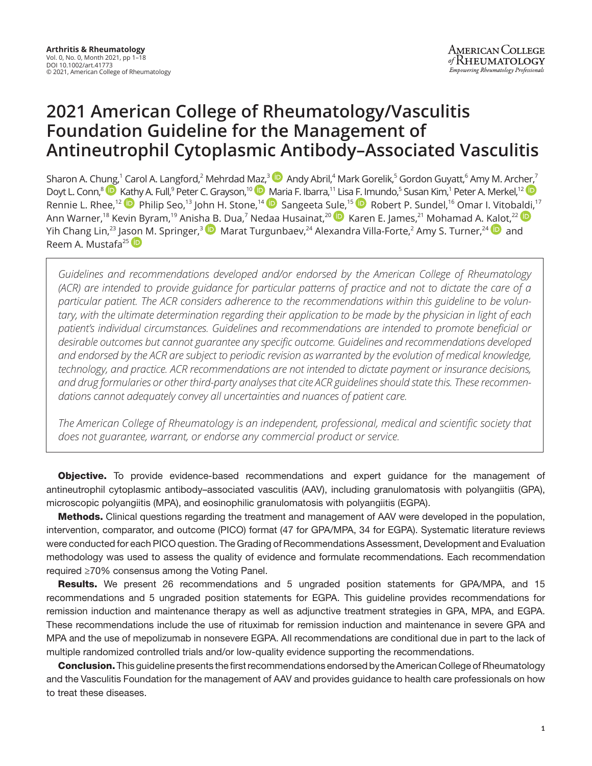# **2021 American College of Rheumatology/Vasculitis Foundation Guideline for the Management of Antineutrophil Cytoplasmic Antibody–Associated Vasculitis**

Sharon A. Ch[ung,](https://orcid.org/0000-0003-3303-3944)<sup>1</sup> Carol A. Langford,<sup>2</sup> Mehrdad [Maz,](https://orcid.org/0000-0002-8269-9438)<sup>3(</sup>•• Andy Abril,<sup>4</sup> Mark Gorelik,<sup>5</sup> Gordon Guyatt,<sup>6</sup> Amy M. Arc[her,](https://orcid.org/0000-0001-9284-7345)<sup>7</sup> Doyt L. Conn,<sup>8</sup> D [Kath](https://orcid.org/0000-0002-4907-0304)y A. Full,<sup>9</sup> Peter C. Grayson,<sup>10</sup> D [Ma](https://orcid.org/0000-0001-6588-9435)ria F. Ibarra,<sup>11</sup> Lis[a F. Im](https://orcid.org/0000-0002-5876-376X)undo,<sup>5</sup> Susan Kim,<sup>1</sup> Peter A. Merkel,<sup>12</sup> Rennie L. Rhee,<sup>12</sup> Philip Seo,<sup>13</sup> John H. Stone,<sup>14</sup> D Sangeeta S[ule,](https://orcid.org/0000-0002-9638-2992)<sup>15</sup> D Robert P. Sundel,<sup>16</sup> Omar I. Vitob[aldi](https://orcid.org/0000-0002-6581-4561),<sup>17</sup> Ann Warner,<sup>18</sup> Kevin Byram,<sup>19</sup> Anis[ha B](https://orcid.org/0000-0002-3903-6049). Dua,<sup>7</sup> Nedaa Husainat,<sup>20</sup> D Karen E. James,<sup>21</sup> Mohamad A. [Kalo](https://orcid.org/0000-0001-7695-2022)t,<sup>22</sup> Yih Chang Lin,<sup>23</sup> Ja[son](https://orcid.org/0000-0002-2091-0875) M. Springer,<sup>3 (D</sup>) Marat Turgunbaev,<sup>24</sup> Alexandra Villa-Forte,<sup>2</sup> Amy S. Turner,<sup>24 (D</sup>) and Reem A. Mustafa<sup>25</sup>

*Guidelines and recommendations developed and/or endorsed by the American College of Rheumatology (ACR) are intended to provide guidance for particular patterns of practice and not to dictate the care of a particular patient. The ACR considers adherence to the recommendations within this guideline to be voluntary, with the ultimate determination regarding their application to be made by the physician in light of each patient's individual circumstances. Guidelines and recommendations are intended to promote beneficial or desirable outcomes but cannot guarantee any specific outcome. Guidelines and recommendations developed and endorsed by the ACR are subject to periodic revision as warranted by the evolution of medical knowledge, technology, and practice. ACR recommendations are not intended to dictate payment or insurance decisions, and drug formularies or other third-party analyses that cite ACR guidelines should state this. These recommendations cannot adequately convey all uncertainties and nuances of patient care.*

*The American College of Rheumatology is an independent, professional, medical and scientific society that does not guarantee, warrant, or endorse any commercial product or service.*

**Objective.** To provide evidence-based recommendations and expert guidance for the management of antineutrophil cytoplasmic antibody–associated vasculitis (AAV), including granulomatosis with polyangiitis (GPA), microscopic polyangiitis (MPA), and eosinophilic granulomatosis with polyangiitis (EGPA).

Methods. Clinical questions regarding the treatment and management of AAV were developed in the population, intervention, comparator, and outcome (PICO) format (47 for GPA/MPA, 34 for EGPA). Systematic literature reviews were conducted for each PICO question. The Grading of Recommendations Assessment, Development and Evaluation methodology was used to assess the quality of evidence and formulate recommendations. Each recommendation required ≥70% consensus among the Voting Panel.

Results. We present 26 recommendations and 5 ungraded position statements for GPA/MPA, and 15 recommendations and 5 ungraded position statements for EGPA. This guideline provides recommendations for remission induction and maintenance therapy as well as adjunctive treatment strategies in GPA, MPA, and EGPA. These recommendations include the use of rituximab for remission induction and maintenance in severe GPA and MPA and the use of mepolizumab in nonsevere EGPA. All recommendations are conditional due in part to the lack of multiple randomized controlled trials and/or low-quality evidence supporting the recommendations.

**Conclusion.** This guideline presents the first recommendations endorsed by the American College of Rheumatology and the Vasculitis Foundation for the management of AAV and provides guidance to health care professionals on how to treat these diseases.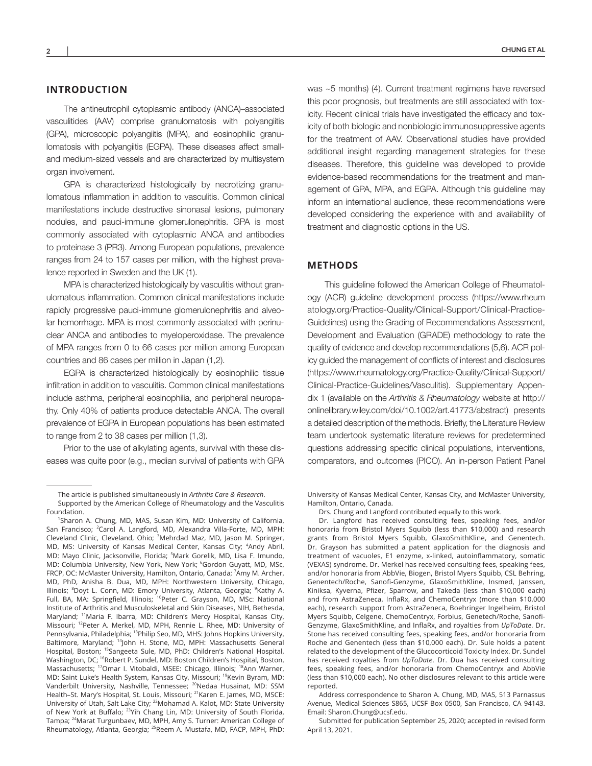#### **INTRODUCTION**

The antineutrophil cytoplasmic antibody (ANCA)–associated vasculitides (AAV) comprise granulomatosis with polyangiitis (GPA), microscopic polyangiitis (MPA), and eosinophilic granulomatosis with polyangiitis (EGPA). These diseases affect smalland medium-sized vessels and are characterized by multisystem organ involvement.

GPA is characterized histologically by necrotizing granulomatous inflammation in addition to vasculitis. Common clinical manifestations include destructive sinonasal lesions, pulmonary nodules, and pauci-immune glomerulonephritis. GPA is most commonly associated with cytoplasmic ANCA and antibodies to proteinase 3 (PR3). Among European populations, prevalence ranges from 24 to 157 cases per million, with the highest prevalence reported in Sweden and the UK (1).

MPA is characterized histologically by vasculitis without granulomatous inflammation. Common clinical manifestations include rapidly progressive pauci-immune glomerulonephritis and alveolar hemorrhage. MPA is most commonly associated with perinuclear ANCA and antibodies to myeloperoxidase. The prevalence of MPA ranges from 0 to 66 cases per million among European countries and 86 cases per million in Japan (1,2).

EGPA is characterized histologically by eosinophilic tissue infiltration in addition to vasculitis. Common clinical manifestations include asthma, peripheral eosinophilia, and peripheral neuropathy. Only 40% of patients produce detectable ANCA. The overall prevalence of EGPA in European populations has been estimated to range from 2 to 38 cases per million (1,3).

Prior to the use of alkylating agents, survival with these diseases was quite poor (e.g., median survival of patients with GPA was ~5 months) (4). Current treatment regimens have reversed this poor prognosis, but treatments are still associated with toxicity. Recent clinical trials have investigated the efficacy and toxicity of both biologic and nonbiologic immunosuppressive agents for the treatment of AAV. Observational studies have provided additional insight regarding management strategies for these diseases. Therefore, this guideline was developed to provide evidence-based recommendations for the treatment and management of GPA, MPA, and EGPA. Although this guideline may inform an international audience, these recommendations were developed considering the experience with and availability of treatment and diagnostic options in the US.

#### **METHODS**

This guideline followed the American College of Rheumatology (ACR) guideline development process ([https://www.rheum](https://www.rheumatology.org/Practice-Quality/Clinical-Support/Clinical-Practice-Guidelines) [atology.org/Practice-Quality/Clinical-Support/Clinical-Practice-](https://www.rheumatology.org/Practice-Quality/Clinical-Support/Clinical-Practice-Guidelines)[Guidelines](https://www.rheumatology.org/Practice-Quality/Clinical-Support/Clinical-Practice-Guidelines)) using the Grading of Recommendations Assessment, Development and Evaluation (GRADE) methodology to rate the quality of evidence and develop recommendations (5,6). ACR policy guided the management of conflicts of interest and disclosures [\(https://www.rheumatology.org/Practice-Quality/Clinical-Support/](https://www.rheumatology.org/Practice-Quality/Clinical-Support/Clinical-Practice-Guidelines/Vasculitis) [Clinical-Practice-Guidelines/Vasculitis\)](https://www.rheumatology.org/Practice-Quality/Clinical-Support/Clinical-Practice-Guidelines/Vasculitis). Supplementary Appendix 1 (available on the *Arthritis & Rheumatology* website at [http://](http://onlinelibrary.wiley.com/doi/10.1002/art.41773/abstract) [onlinelibrary.wiley.com/doi/10.1002/art.41773/abstract\)](http://onlinelibrary.wiley.com/doi/10.1002/art.41773/abstract) presents a detailed description of the methods. Briefly, the Literature Review team undertook systematic literature reviews for predetermined questions addressing specific clinical populations, interventions, comparators, and outcomes (PICO). An in-person Patient Panel

University of Kansas Medical Center, Kansas City, and McMaster University, Hamilton, Ontario, Canada.

Drs. Chung and Langford contributed equally to this work.

Dr. Langford has received consulting fees, speaking fees, and/or honoraria from Bristol Myers Squibb (less than \$10,000) and research grants from Bristol Myers Squibb, GlaxoSmithKline, and Genentech. Dr. Grayson has submitted a patent application for the diagnosis and treatment of vacuoles, E1 enzyme, x-linked, autoinflammatory, somatic (VEXAS) syndrome. Dr. Merkel has received consulting fees, speaking fees, and/or honoraria from AbbVie, Biogen, Bristol Myers Squibb, CSL Behring, Genentech/Roche, Sanofi-Genzyme, GlaxoSmithKline, Insmed, Janssen, Kiniksa, Kyverna, Pfizer, Sparrow, and Takeda (less than \$10,000 each) and from AstraZeneca, InflaRx, and ChemoCentryx (more than \$10,000 each), research support from AstraZeneca, Boehringer Ingelheim, Bristol Myers Squibb, Celgene, ChemoCentryx, Forbius, Genetech/Roche, Sanofi-Genzyme, GlaxoSmithKline, and InflaRx, and royalties from *UpToDate*. Dr. Stone has received consulting fees, speaking fees, and/or honoraria from Roche and Genentech (less than \$10,000 each). Dr. Sule holds a patent related to the development of the Glucocorticoid Toxicity Index. Dr. Sundel has received royalties from *UpToDate*. Dr. Dua has received consulting fees, speaking fees, and/or honoraria from ChemoCentryx and AbbVie (less than \$10,000 each). No other disclosures relevant to this article were reported.

Address correspondence to Sharon A. Chung, MD, MAS, 513 Parnassus Avenue, Medical Sciences S865, UCSF Box 0500, San Francisco, CA 94143. Email: [Sharon.Chung@ucsf.edu.](mailto:Sharon.Chung@ucsf.edu)

Submitted for publication September 25, 2020; accepted in revised form April 13, 2021.

The article is published simultaneously in *Arthritis Care & Research*. Supported by the American College of Rheumatology and the Vasculitis Foundation.

<sup>1</sup> Sharon A. Chung, MD, MAS, Susan Kim, MD: University of California, San Francisco; <sup>2</sup>Carol A. Langford, MD, Alexandra Villa-Forte, MD, MPH: Cleveland Clinic, Cleveland, Ohio; <sup>3</sup>Mehrdad Maz, MD, Jason M. Springer, MD, MS: University of Kansas Medical Center, Kansas City; <sup>4</sup>Andy Abril, MD: Mayo Clinic, Jacksonville, Florida; 5Mark Gorelik, MD, Lisa F. Imundo, MD: Columbia University, New York, New York; <sup>6</sup>Gordon Guyatt, MD, MSc, FRCP, OC: McMaster University, Hamilton, Ontario, Canada; 7Amy M. Archer, MD, PhD, Anisha B. Dua, MD, MPH: Northwestern University, Chicago, Illinois; <sup>8</sup>Doyt L. Conn, MD: Emory University, Atlanta, Georgia; <sup>9</sup>Kathy A. Full, BA, MA: Springfield, Illinois; <sup>10</sup>Peter C. Grayson, MD, MSc: National Institute of Arthritis and Musculoskeletal and Skin Diseases, NIH, Bethesda, Maryland; <sup>11</sup>Maria F. Ibarra, MD: Children's Mercy Hospital, Kansas City, Missouri; <sup>12</sup>Peter A. Merkel, MD, MPH, Rennie L. Rhee, MD: University of Pennsylvania, Philadelphia; <sup>13</sup>Philip Seo, MD, MHS: Johns Hopkins University, Baltimore, Maryland; <sup>14</sup>John H. Stone, MD, MPH: Massachusetts General Hospital, Boston; <sup>15</sup>Sangeeta Sule, MD, PhD: Children's National Hospital, Washington, DC; <sup>16</sup>Robert P. Sundel, MD: Boston Children's Hospital, Boston, Massachusetts; <sup>17</sup>Omar I. Vitobaldi, MSEE: Chicago, Illinois; <sup>18</sup>Ann Warner, MD: Saint Luke's Health System, Kansas City, Missouri; <sup>19</sup>Kevin Byram, MD: Vanderbilt University, Nashville, Tennessee; <sup>20</sup>Nedaa Husainat, MD: SSM Health–St. Mary's Hospital, St. Louis, Missouri; <sup>21</sup>Karen E. James, MD, MSCE: University of Utah, Salt Lake City; <sup>22</sup>Mohamad A. Kalot, MD: State University of New York at Buffalo; <sup>23</sup>Yih Chang Lin, MD: University of South Florida, Tampa; <sup>24</sup>Marat Turgunbaev, MD, MPH, Amy S. Turner: American College of Rheumatology, Atlanta, Georgia; <sup>25</sup>Reem A. Mustafa, MD, FACP, MPH, PhD: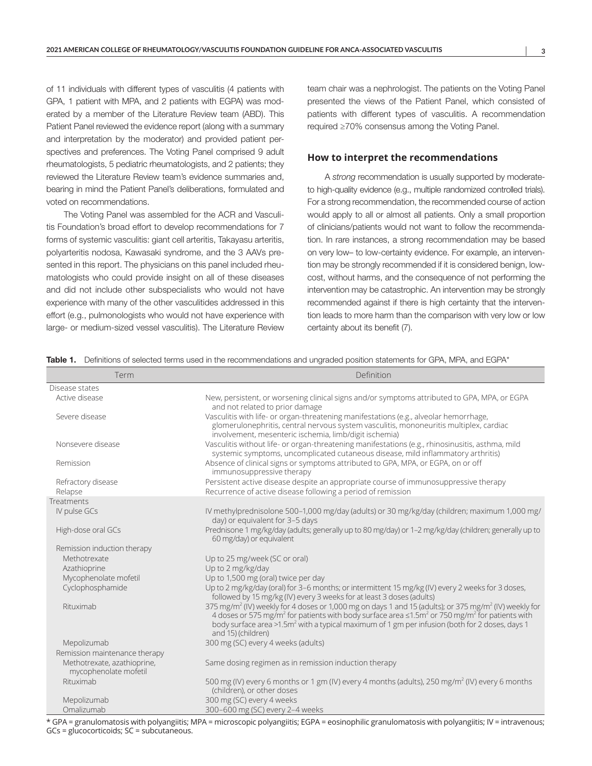of 11 individuals with different types of vasculitis (4 patients with GPA, 1 patient with MPA, and 2 patients with EGPA) was moderated by a member of the Literature Review team (ABD). This Patient Panel reviewed the evidence report (along with a summary and interpretation by the moderator) and provided patient perspectives and preferences. The Voting Panel comprised 9 adult rheumatologists, 5 pediatric rheumatologists, and 2 patients; they reviewed the Literature Review team's evidence summaries and, bearing in mind the Patient Panel's deliberations, formulated and voted on recommendations.

The Voting Panel was assembled for the ACR and Vasculitis Foundation's broad effort to develop recommendations for 7 forms of systemic vasculitis: giant cell arteritis, Takayasu arteritis, polyarteritis nodosa, Kawasaki syndrome, and the 3 AAVs presented in this report. The physicians on this panel included rheumatologists who could provide insight on all of these diseases and did not include other subspecialists who would not have experience with many of the other vasculitides addressed in this effort (e.g., pulmonologists who would not have experience with large- or medium-sized vessel vasculitis). The Literature Review

team chair was a nephrologist. The patients on the Voting Panel presented the views of the Patient Panel, which consisted of patients with different types of vasculitis. A recommendation required ≥70% consensus among the Voting Panel.

#### **How to interpret the recommendations**

A *strong* recommendation is usually supported by moderateto high-quality evidence (e.g., multiple randomized controlled trials). For a strong recommendation, the recommended course of action would apply to all or almost all patients. Only a small proportion of clinicians/patients would not want to follow the recommendation. In rare instances, a strong recommendation may be based on very low– to low-certainty evidence. For example, an intervention may be strongly recommended if it is considered benign, lowcost, without harms, and the consequence of not performing the intervention may be catastrophic. An intervention may be strongly recommended against if there is high certainty that the intervention leads to more harm than the comparison with very low or low certainty about its benefit (7).

| Table 1. |  | Definitions of selected terms used in the recommendations and ungraded position statements for GPA, MPA, and EGPA* |  |  |  |
|----------|--|--------------------------------------------------------------------------------------------------------------------|--|--|--|
|          |  |                                                                                                                    |  |  |  |

| Term                                                 | Definition                                                                                                                                                                                                                                                                                                                                                                                                     |
|------------------------------------------------------|----------------------------------------------------------------------------------------------------------------------------------------------------------------------------------------------------------------------------------------------------------------------------------------------------------------------------------------------------------------------------------------------------------------|
| Disease states                                       |                                                                                                                                                                                                                                                                                                                                                                                                                |
| Active disease                                       | New, persistent, or worsening clinical signs and/or symptoms attributed to GPA, MPA, or EGPA<br>and not related to prior damage                                                                                                                                                                                                                                                                                |
| Severe disease                                       | Vasculitis with life- or organ-threatening manifestations (e.g., alveolar hemorrhage,<br>glomerulonephritis, central nervous system vasculitis, mononeuritis multiplex, cardiac<br>involvement, mesenteric ischemia, limb/digit ischemia)                                                                                                                                                                      |
| Nonsevere disease                                    | Vasculitis without life- or organ-threatening manifestations (e.g., rhinosinusitis, asthma, mild<br>systemic symptoms, uncomplicated cutaneous disease, mild inflammatory arthritis)                                                                                                                                                                                                                           |
| Remission                                            | Absence of clinical signs or symptoms attributed to GPA, MPA, or EGPA, on or off<br>immunosuppressive therapy                                                                                                                                                                                                                                                                                                  |
| Refractory disease<br>Relapse                        | Persistent active disease despite an appropriate course of immunosuppressive therapy<br>Recurrence of active disease following a period of remission                                                                                                                                                                                                                                                           |
| Treatments                                           |                                                                                                                                                                                                                                                                                                                                                                                                                |
| IV pulse GCs                                         | IV methylprednisolone 500-1,000 mg/day (adults) or 30 mg/kg/day (children; maximum 1,000 mg/<br>day) or equivalent for 3-5 days                                                                                                                                                                                                                                                                                |
| High-dose oral GCs                                   | Prednisone 1 mg/kg/day (adults; generally up to 80 mg/day) or 1-2 mg/kg/day (children; generally up to<br>60 mg/day) or equivalent                                                                                                                                                                                                                                                                             |
| Remission induction therapy                          |                                                                                                                                                                                                                                                                                                                                                                                                                |
| Methotrexate                                         | Up to 25 mg/week (SC or oral)                                                                                                                                                                                                                                                                                                                                                                                  |
| Azathioprine                                         | Up to 2 mg/kg/day                                                                                                                                                                                                                                                                                                                                                                                              |
| Mycophenolate mofetil                                | Up to 1,500 mg (oral) twice per day                                                                                                                                                                                                                                                                                                                                                                            |
| Cyclophosphamide                                     | Up to 2 mg/kg/day (oral) for 3-6 months; or intermittent 15 mg/kg (IV) every 2 weeks for 3 doses,<br>followed by 15 mg/kg (IV) every 3 weeks for at least 3 doses (adults)                                                                                                                                                                                                                                     |
| Rituximab                                            | 375 mg/m <sup>2</sup> (IV) weekly for 4 doses or 1,000 mg on days 1 and 15 (adults); or 375 mg/m <sup>2</sup> (IV) weekly for<br>4 doses or 575 mg/m <sup>2</sup> for patients with body surface area $\leq 1.5$ m <sup>2</sup> or 750 mg/m <sup>2</sup> for patients with<br>body surface area >1.5m <sup>2</sup> with a typical maximum of 1 gm per infusion (both for 2 doses, days 1<br>and 15) (children) |
| Mepolizumab                                          | 300 mg (SC) every 4 weeks (adults)                                                                                                                                                                                                                                                                                                                                                                             |
| Remission maintenance therapy                        |                                                                                                                                                                                                                                                                                                                                                                                                                |
| Methotrexate, azathioprine,<br>mycophenolate mofetil | Same dosing regimen as in remission induction therapy                                                                                                                                                                                                                                                                                                                                                          |
| Rituximab                                            | 500 mg (IV) every 6 months or 1 gm (IV) every 4 months (adults), 250 mg/m <sup>2</sup> (IV) every 6 months<br>(children), or other doses                                                                                                                                                                                                                                                                       |
| Mepolizumab                                          | 300 mg (SC) every 4 weeks                                                                                                                                                                                                                                                                                                                                                                                      |
| Omalizumab                                           | 300-600 mg (SC) every 2-4 weeks                                                                                                                                                                                                                                                                                                                                                                                |

\* GPA = granulomatosis with polyangiitis; MPA = microscopic polyangiitis; EGPA = eosinophilic granulomatosis with polyangiitis; IV = intravenous; GCs = glucocorticoids; SC = subcutaneous.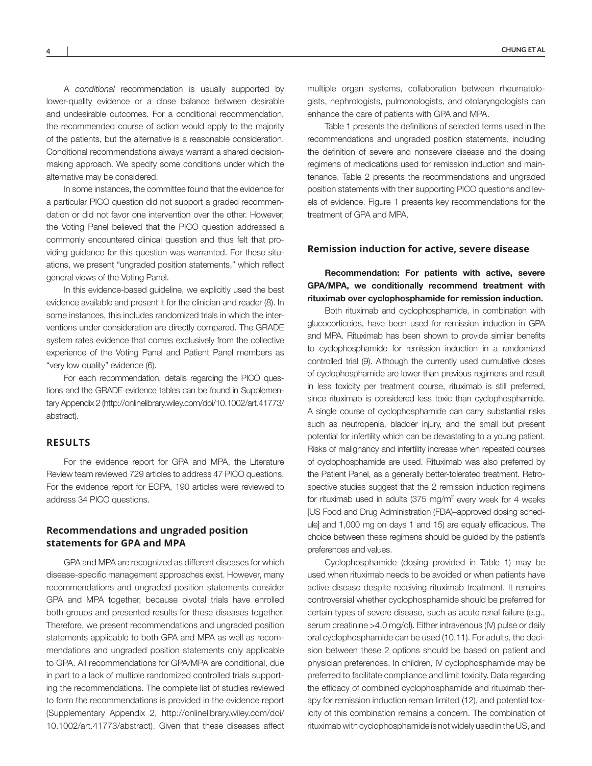A *conditional* recommendation is usually supported by lower-quality evidence or a close balance between desirable and undesirable outcomes. For a conditional recommendation, the recommended course of action would apply to the majority of the patients, but the alternative is a reasonable consideration. Conditional recommendations always warrant a shared decisionmaking approach. We specify some conditions under which the alternative may be considered.

In some instances, the committee found that the evidence for a particular PICO question did not support a graded recommendation or did not favor one intervention over the other. However, the Voting Panel believed that the PICO question addressed a commonly encountered clinical question and thus felt that providing guidance for this question was warranted. For these situations, we present "ungraded position statements," which reflect general views of the Voting Panel.

In this evidence-based guideline, we explicitly used the best evidence available and present it for the clinician and reader (8). In some instances, this includes randomized trials in which the interventions under consideration are directly compared. The GRADE system rates evidence that comes exclusively from the collective experience of the Voting Panel and Patient Panel members as "very low quality" evidence (6).

For each recommendation, details regarding the PICO questions and the GRADE evidence tables can be found in Supplementary Appendix 2 [\(http://onlinelibrary.wiley.com/doi/10.1002/art.41773/](http://onlinelibrary.wiley.com/doi/10.1002/art.41773/abstract) [abstract](http://onlinelibrary.wiley.com/doi/10.1002/art.41773/abstract)).

### **RESULTS**

For the evidence report for GPA and MPA, the Literature Review team reviewed 729 articles to address 47 PICO questions. For the evidence report for EGPA, 190 articles were reviewed to address 34 PICO questions.

#### **Recommendations and ungraded position statements for GPA and MPA**

GPA and MPA are recognized as different diseases for which disease-specific management approaches exist. However, many recommendations and ungraded position statements consider GPA and MPA together, because pivotal trials have enrolled both groups and presented results for these diseases together. Therefore, we present recommendations and ungraded position statements applicable to both GPA and MPA as well as recommendations and ungraded position statements only applicable to GPA. All recommendations for GPA/MPA are conditional, due in part to a lack of multiple randomized controlled trials supporting the recommendations. The complete list of studies reviewed to form the recommendations is provided in the evidence report (Supplementary Appendix 2, [http://onlinelibrary.wiley.com/doi/](http://onlinelibrary.wiley.com/doi/10.1002/art.41773/abstract) [10.1002/art.41773/abstract\)](http://onlinelibrary.wiley.com/doi/10.1002/art.41773/abstract). Given that these diseases affect multiple organ systems, collaboration between rheumatologists, nephrologists, pulmonologists, and otolaryngologists can enhance the care of patients with GPA and MPA.

Table 1 presents the definitions of selected terms used in the recommendations and ungraded position statements, including the definition of severe and nonsevere disease and the dosing regimens of medications used for remission induction and maintenance. Table 2 presents the recommendations and ungraded position statements with their supporting PICO questions and levels of evidence. Figure 1 presents key recommendations for the treatment of GPA and MPA.

#### **Remission induction for active, severe disease**

Recommendation: For patients with active, severe GPA/MPA, we conditionally recommend treatment with rituximab over cyclophosphamide for remission induction.

Both rituximab and cyclophosphamide, in combination with glucocorticoids, have been used for remission induction in GPA and MPA. Rituximab has been shown to provide similar benefits to cyclophosphamide for remission induction in a randomized controlled trial (9). Although the currently used cumulative doses of cyclophosphamide are lower than previous regimens and result in less toxicity per treatment course, rituximab is still preferred, since rituximab is considered less toxic than cyclophosphamide. A single course of cyclophosphamide can carry substantial risks such as neutropenia, bladder injury, and the small but present potential for infertility which can be devastating to a young patient. Risks of malignancy and infertility increase when repeated courses of cyclophosphamide are used. Rituximab was also preferred by the Patient Panel, as a generally better-tolerated treatment. Retrospective studies suggest that the 2 remission induction regimens for rituximab used in adults ( $375 \text{ mg/m}^2$  every week for 4 weeks [US Food and Drug Administration (FDA)–approved dosing schedule] and 1,000 mg on days 1 and 15) are equally efficacious. The choice between these regimens should be guided by the patient's preferences and values.

Cyclophosphamide (dosing provided in Table 1) may be used when rituximab needs to be avoided or when patients have active disease despite receiving rituximab treatment. It remains controversial whether cyclophosphamide should be preferred for certain types of severe disease, such as acute renal failure (e.g., serum creatinine >4.0 mg/dl). Either intravenous (IV) pulse or daily oral cyclophosphamide can be used (10,11). For adults, the decision between these 2 options should be based on patient and physician preferences. In children, IV cyclophosphamide may be preferred to facilitate compliance and limit toxicity. Data regarding the efficacy of combined cyclophosphamide and rituximab therapy for remission induction remain limited (12), and potential toxicity of this combination remains a concern. The combination of rituximab with cyclophosphamide is not widely used in the US, and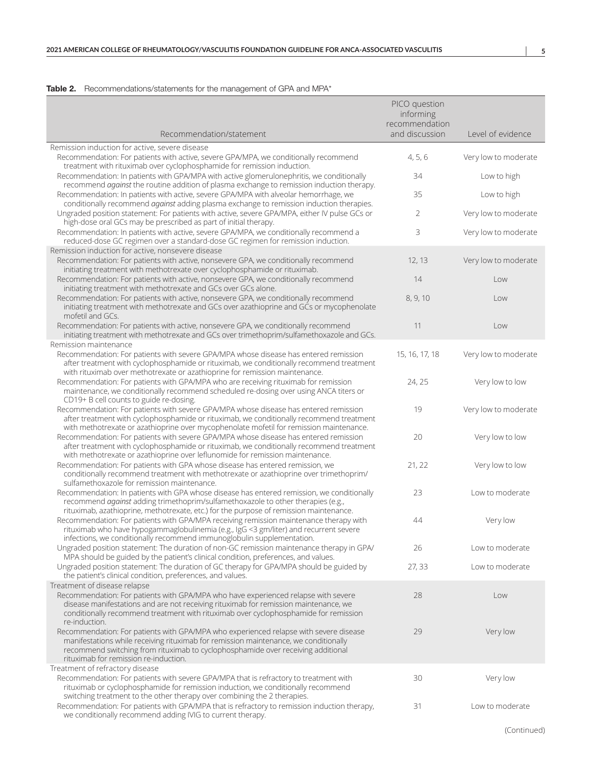#### Table 2. Recommendations/statements for the management of GPA and MPA\*

|                                                                                                                                                                                                                                                                                                                                                              | PICO question<br>informing<br>recommendation |                      |
|--------------------------------------------------------------------------------------------------------------------------------------------------------------------------------------------------------------------------------------------------------------------------------------------------------------------------------------------------------------|----------------------------------------------|----------------------|
| Recommendation/statement                                                                                                                                                                                                                                                                                                                                     | and discussion                               | Level of evidence    |
| Remission induction for active, severe disease<br>Recommendation: For patients with active, severe GPA/MPA, we conditionally recommend                                                                                                                                                                                                                       | 4, 5, 6                                      | Very low to moderate |
| treatment with rituximab over cyclophosphamide for remission induction.<br>Recommendation: In patients with GPA/MPA with active glomerulonephritis, we conditionally                                                                                                                                                                                         | 34                                           | Low to high          |
| recommend against the routine addition of plasma exchange to remission induction therapy.<br>Recommendation: In patients with active, severe GPA/MPA with alveolar hemorrhage, we                                                                                                                                                                            | 35                                           | Low to high          |
| conditionally recommend against adding plasma exchange to remission induction therapies.<br>Ungraded position statement: For patients with active, severe GPA/MPA, either IV pulse GCs or                                                                                                                                                                    | 2                                            | Very low to moderate |
| high-dose oral GCs may be prescribed as part of initial therapy.<br>Recommendation: In patients with active, severe GPA/MPA, we conditionally recommend a<br>reduced-dose GC regimen over a standard-dose GC regimen for remission induction.                                                                                                                | 3                                            | Very low to moderate |
| Remission induction for active, nonsevere disease<br>Recommendation: For patients with active, nonsevere GPA, we conditionally recommend                                                                                                                                                                                                                     | 12, 13                                       | Very low to moderate |
| initiating treatment with methotrexate over cyclophosphamide or rituximab.<br>Recommendation: For patients with active, nonsevere GPA, we conditionally recommend<br>initiating treatment with methotrexate and GCs over GCs alone.                                                                                                                          | 14                                           | Low                  |
| Recommendation: For patients with active, nonsevere GPA, we conditionally recommend<br>initiating treatment with methotrexate and GCs over azathioprine and GCs or mycophenolate                                                                                                                                                                             | 8, 9, 10                                     | Low                  |
| mofetil and GCs.<br>Recommendation: For patients with active, nonsevere GPA, we conditionally recommend<br>initiating treatment with methotrexate and GCs over trimethoprim/sulfamethoxazole and GCs.                                                                                                                                                        | 11                                           | Low                  |
| Remission maintenance<br>Recommendation: For patients with severe GPA/MPA whose disease has entered remission<br>after treatment with cyclophosphamide or rituximab, we conditionally recommend treatment                                                                                                                                                    | 15, 16, 17, 18                               | Very low to moderate |
| with rituximab over methotrexate or azathioprine for remission maintenance.<br>Recommendation: For patients with GPA/MPA who are receiving rituximab for remission<br>maintenance, we conditionally recommend scheduled re-dosing over using ANCA titers or<br>CD19+ B cell counts to guide re-dosing.                                                       | 24, 25                                       | Very low to low      |
| Recommendation: For patients with severe GPA/MPA whose disease has entered remission<br>after treatment with cyclophosphamide or rituximab, we conditionally recommend treatment                                                                                                                                                                             | 19                                           | Very low to moderate |
| with methotrexate or azathioprine over mycophenolate mofetil for remission maintenance.<br>Recommendation: For patients with severe GPA/MPA whose disease has entered remission<br>after treatment with cyclophosphamide or rituximab, we conditionally recommend treatment<br>with methotrexate or azathioprine over leflunomide for remission maintenance. | 20                                           | Very low to low      |
| Recommendation: For patients with GPA whose disease has entered remission, we<br>conditionally recommend treatment with methotrexate or azathioprine over trimethoprim/<br>sulfamethoxazole for remission maintenance.                                                                                                                                       | 21, 22                                       | Very low to low      |
| Recommendation: In patients with GPA whose disease has entered remission, we conditionally<br>recommend against adding trimethoprim/sulfamethoxazole to other therapies (e.g.,<br>rituximab, azathioprine, methotrexate, etc.) for the purpose of remission maintenance.                                                                                     | 23                                           | Low to moderate      |
| Recommendation: For patients with GPA/MPA receiving remission maintenance therapy with<br>rituximab who have hypogammaglobulinemia (e.g., IgG <3 gm/liter) and recurrent severe<br>infections, we conditionally recommend immunoglobulin supplementation.                                                                                                    | 44                                           | Very low             |
| Ungraded position statement: The duration of non-GC remission maintenance therapy in GPA/<br>MPA should be guided by the patient's clinical condition, preferences, and values.                                                                                                                                                                              | 26                                           | Low to moderate      |
| Ungraded position statement: The duration of GC therapy for GPA/MPA should be guided by<br>the patient's clinical condition, preferences, and values.                                                                                                                                                                                                        | 27, 33                                       | Low to moderate      |
| Treatment of disease relapse<br>Recommendation: For patients with GPA/MPA who have experienced relapse with severe                                                                                                                                                                                                                                           | 28                                           | Low                  |
| disease manifestations and are not receiving rituximab for remission maintenance, we<br>conditionally recommend treatment with rituximab over cyclophosphamide for remission<br>re-induction.                                                                                                                                                                |                                              |                      |
| Recommendation: For patients with GPA/MPA who experienced relapse with severe disease<br>manifestations while receiving rituximab for remission maintenance, we conditionally<br>recommend switching from rituximab to cyclophosphamide over receiving additional<br>rituximab for remission re-induction.                                                   | 29                                           | Very low             |
| Treatment of refractory disease<br>Recommendation: For patients with severe GPA/MPA that is refractory to treatment with<br>rituximab or cyclophosphamide for remission induction, we conditionally recommend                                                                                                                                                | 30                                           | Very low             |
| switching treatment to the other therapy over combining the 2 therapies.<br>Recommendation: For patients with GPA/MPA that is refractory to remission induction therapy,<br>we conditionally recommend adding IVIG to current therapy.                                                                                                                       | 31                                           | Low to moderate      |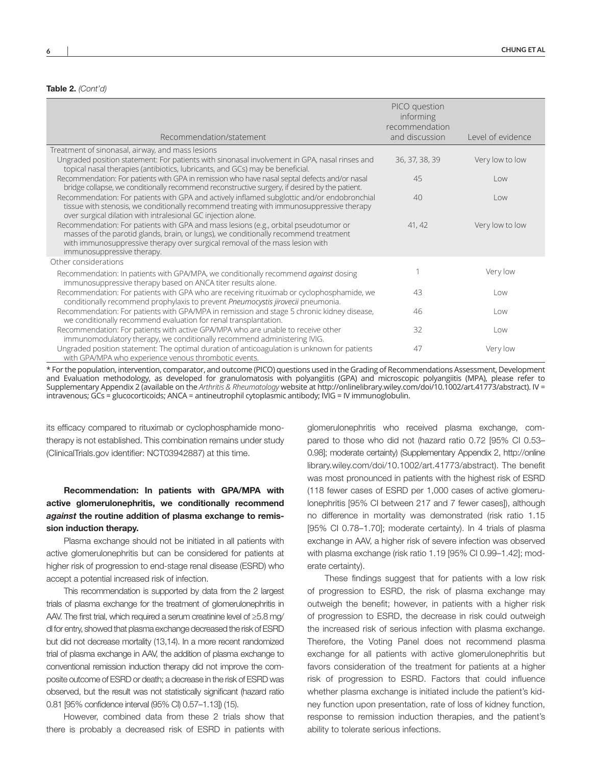#### Table 2. *(Cont'd)*

| Recommendation/statement                                                                                                                                                                                                                                                                   | PICO question<br>informing<br>recommendation<br>and discussion | Level of evidence           |
|--------------------------------------------------------------------------------------------------------------------------------------------------------------------------------------------------------------------------------------------------------------------------------------------|----------------------------------------------------------------|-----------------------------|
| Treatment of sinonasal, airway, and mass lesions                                                                                                                                                                                                                                           |                                                                |                             |
| Ungraded position statement: For patients with sinonasal involvement in GPA, nasal rinses and<br>topical nasal therapies (antibiotics, lubricants, and GCs) may be beneficial.                                                                                                             | 36, 37, 38, 39                                                 | Very low to low             |
| Recommendation: For patients with GPA in remission who have nasal septal defects and/or nasal<br>bridge collapse, we conditionally recommend reconstructive surgery, if desired by the patient.                                                                                            | 45                                                             | $\overline{\text{low}}$     |
| Recommendation: For patients with GPA and actively inflamed subglottic and/or endobronchial<br>tissue with stenosis, we conditionally recommend treating with immunosuppressive therapy<br>over surgical dilation with intralesional GC injection alone.                                   | 40                                                             | $\overline{\phantom{0}}$ ow |
| Recommendation: For patients with GPA and mass lesions (e.g., orbital pseudotumor or<br>masses of the parotid glands, brain, or lungs), we conditionally recommend treatment<br>with immunosuppressive therapy over surgical removal of the mass lesion with<br>immunosuppressive therapy. | 41, 42                                                         | Very low to low             |
| Other considerations                                                                                                                                                                                                                                                                       |                                                                |                             |
| Recommendation: In patients with GPA/MPA, we conditionally recommend against dosing<br>immunosuppressive therapy based on ANCA titer results alone.                                                                                                                                        |                                                                | Very low                    |
| Recommendation: For patients with GPA who are receiving rituximab or cyclophosphamide, we<br>conditionally recommend prophylaxis to prevent Pneumocystis jirovecii pneumonia.                                                                                                              | 43                                                             | l ow                        |
| Recommendation: For patients with GPA/MPA in remission and stage 5 chronic kidney disease,<br>we conditionally recommend evaluation for renal transplantation.                                                                                                                             | 46                                                             | l ow                        |
| Recommendation: For patients with active GPA/MPA who are unable to receive other<br>immunomodulatory therapy, we conditionally recommend administering IVIG.                                                                                                                               | 32                                                             | l ow                        |
| Ungraded position statement: The optimal duration of anticoagulation is unknown for patients<br>with GPA/MPA who experience venous thrombotic events.                                                                                                                                      | 47                                                             | Very low                    |

\* For the population, intervention, comparator, and outcome (PICO) questions used in the Grading of Recommendations Assessment, Development and Evaluation methodology, as developed for granulomatosis with polyangiitis (GPA) and microscopic polyangiitis (MPA), please refer to Supplementary Appendix 2 (available on the *Arthritis & Rheumatology* website at [http://onlinelibrary.wiley.com/doi/10.1002/art.41773/abstract\)](http://onlinelibrary.wiley.com/doi/10.1002/art.41773/abstract). IV = intravenous; GCs = glucocorticoids; ANCA = antineutrophil cytoplasmic antibody; IVIG = IV immunoglobulin.

its efficacy compared to rituximab or cyclophosphamide monotherapy is not established. This combination remains under study (ClinicalTrials.gov identifier: NCT03942887) at this time.

# Recommendation: In patients with GPA/MPA with active glomerulonephritis, we conditionally recommend *against* the routine addition of plasma exchange to remission induction therapy.

Plasma exchange should not be initiated in all patients with active glomerulonephritis but can be considered for patients at higher risk of progression to end-stage renal disease (ESRD) who accept a potential increased risk of infection.

This recommendation is supported by data from the 2 largest trials of plasma exchange for the treatment of glomerulonephritis in AAV. The first trial, which required a serum creatinine level of ≥5.8 mg/ dl for entry, showed that plasma exchange decreased the risk of ESRD but did not decrease mortality (13,14). In a more recent randomized trial of plasma exchange in AAV, the addition of plasma exchange to conventional remission induction therapy did not improve the composite outcome of ESRD or death; a decrease in the risk of ESRD was observed, but the result was not statistically significant (hazard ratio 0.81 [95% confidence interval (95% CI) 0.57–1.13]) (15).

However, combined data from these 2 trials show that there is probably a decreased risk of ESRD in patients with

glomerulonephritis who received plasma exchange, compared to those who did not (hazard ratio 0.72 [95% CI 0.53– 0.98]; moderate certainty) (Supplementary Appendix 2, [http://online](http://onlinelibrary.wiley.com/doi/10.1002/art.41773/abstract)  [library.wiley.com/doi/10.1002/art.41773/abstract](http://onlinelibrary.wiley.com/doi/10.1002/art.41773/abstract)). The benefit was most pronounced in patients with the highest risk of ESRD (118 fewer cases of ESRD per 1,000 cases of active glomerulonephritis [95% CI between 217 and 7 fewer cases]), although no difference in mortality was demonstrated (risk ratio 1.15 [95% CI 0.78–1.70]; moderate certainty). In 4 trials of plasma exchange in AAV, a higher risk of severe infection was observed with plasma exchange (risk ratio 1.19 [95% CI 0.99–1.42]; moderate certainty).

These findings suggest that for patients with a low risk of progression to ESRD, the risk of plasma exchange may outweigh the benefit; however, in patients with a higher risk of progression to ESRD, the decrease in risk could outweigh the increased risk of serious infection with plasma exchange. Therefore, the Voting Panel does not recommend plasma exchange for all patients with active glomerulonephritis but favors consideration of the treatment for patients at a higher risk of progression to ESRD. Factors that could influence whether plasma exchange is initiated include the patient's kidney function upon presentation, rate of loss of kidney function, response to remission induction therapies, and the patient's ability to tolerate serious infections.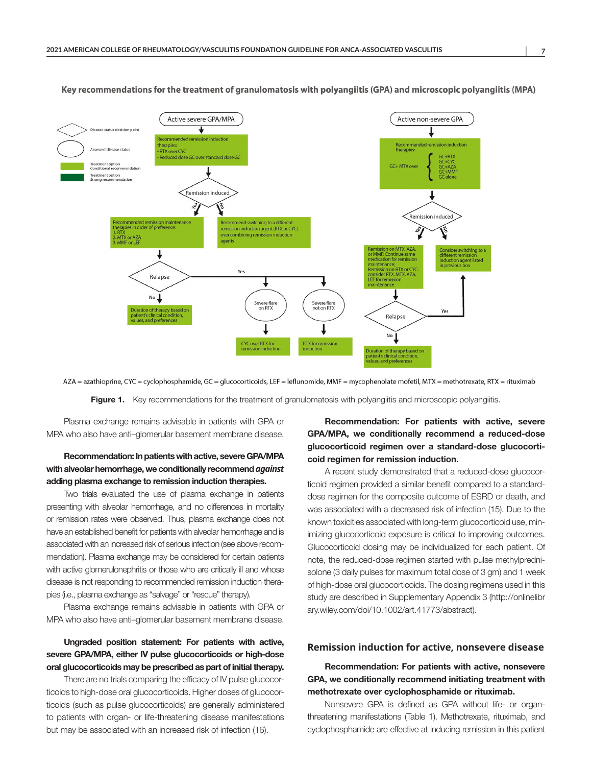

#### Key recommendations for the treatment of granulomatosis with polyangiitis (GPA) and microscopic polyangiitis (MPA)

AZA = azathioprine, CYC = cyclophosphamide, GC = glucocorticoids, LEF = leflunomide, MMF = mycophenolate mofetil, MTX = methotrexate, RTX = rituximab

Figure 1. Key recommendations for the treatment of granulomatosis with polyangiitis and microscopic polyangiitis.

Plasma exchange remains advisable in patients with GPA or MPA who also have anti–glomerular basement membrane disease.

# Recommendation: In patients with active, severe GPA/MPA with alveolar hemorrhage, we conditionally recommend *against* adding plasma exchange to remission induction therapies.

Two trials evaluated the use of plasma exchange in patients presenting with alveolar hemorrhage, and no differences in mortality or remission rates were observed. Thus, plasma exchange does not have an established benefit for patients with alveolar hemorrhage and is associated with an increased risk of serious infection (see above recommendation). Plasma exchange may be considered for certain patients with active glomerulonephritis or those who are critically ill and whose disease is not responding to recommended remission induction therapies (i.e., plasma exchange as "salvage" or "rescue" therapy).

Plasma exchange remains advisable in patients with GPA or MPA who also have anti–glomerular basement membrane disease.

### Ungraded position statement: For patients with active, severe GPA/MPA, either IV pulse glucocorticoids or high-dose oral glucocorticoids may be prescribed as part of initial therapy.

There are no trials comparing the efficacy of IV pulse glucocorticoids to high-dose oral glucocorticoids. Higher doses of glucocorticoids (such as pulse glucocorticoids) are generally administered to patients with organ- or life-threatening disease manifestations but may be associated with an increased risk of infection (16).

Recommendation: For patients with active, severe GPA/MPA, we conditionally recommend a reduced-dose glucocorticoid regimen over a standard-dose glucocorticoid regimen for remission induction.

A recent study demonstrated that a reduced-dose glucocorticoid regimen provided a similar benefit compared to a standarddose regimen for the composite outcome of ESRD or death, and was associated with a decreased risk of infection (15). Due to the known toxicities associated with long-term glucocorticoid use, minimizing glucocorticoid exposure is critical to improving outcomes. Glucocorticoid dosing may be individualized for each patient. Of note, the reduced-dose regimen started with pulse methylprednisolone (3 daily pulses for maximum total dose of 3 gm) and 1 week of high-dose oral glucocorticoids. The dosing regimens used in this study are described in Supplementary Appendix 3 [\(http://onlinelibr](http://onlinelibrary.wiley.com/doi/10.1002/art.41773/abstract) [ary.wiley.com/doi/10.1002/art.41773/abstract\)](http://onlinelibrary.wiley.com/doi/10.1002/art.41773/abstract).

#### **Remission induction for active, nonsevere disease**

# Recommendation: For patients with active, nonsevere GPA, we conditionally recommend initiating treatment with methotrexate over cyclophosphamide or rituximab.

Nonsevere GPA is defined as GPA without life- or organthreatening manifestations (Table 1). Methotrexate, rituximab, and cyclophosphamide are effective at inducing remission in this patient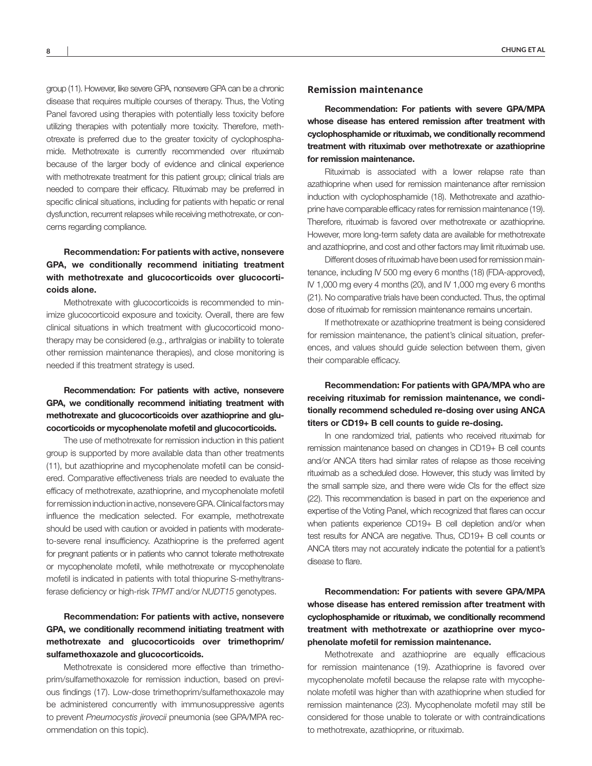group (11). However, like severe GPA, nonsevere GPA can be a chronic disease that requires multiple courses of therapy. Thus, the Voting Panel favored using therapies with potentially less toxicity before utilizing therapies with potentially more toxicity. Therefore, methotrexate is preferred due to the greater toxicity of cyclophosphamide. Methotrexate is currently recommended over rituximab because of the larger body of evidence and clinical experience with methotrexate treatment for this patient group; clinical trials are needed to compare their efficacy. Rituximab may be preferred in specific clinical situations, including for patients with hepatic or renal dysfunction, recurrent relapses while receiving methotrexate, or concerns regarding compliance.

# Recommendation: For patients with active, nonsevere GPA, we conditionally recommend initiating treatment with methotrexate and glucocorticoids over glucocorticoids alone.

Methotrexate with glucocorticoids is recommended to minimize glucocorticoid exposure and toxicity. Overall, there are few clinical situations in which treatment with glucocorticoid monotherapy may be considered (e.g., arthralgias or inability to tolerate other remission maintenance therapies), and close monitoring is needed if this treatment strategy is used.

# Recommendation: For patients with active, nonsevere GPA, we conditionally recommend initiating treatment with methotrexate and glucocorticoids over azathioprine and glucocorticoids or mycophenolate mofetil and glucocorticoids.

The use of methotrexate for remission induction in this patient group is supported by more available data than other treatments (11), but azathioprine and mycophenolate mofetil can be considered. Comparative effectiveness trials are needed to evaluate the efficacy of methotrexate, azathioprine, and mycophenolate mofetil for remission induction in active, nonsevere GPA. Clinical factors may influence the medication selected. For example, methotrexate should be used with caution or avoided in patients with moderateto-severe renal insufficiency. Azathioprine is the preferred agent for pregnant patients or in patients who cannot tolerate methotrexate or mycophenolate mofetil, while methotrexate or mycophenolate mofetil is indicated in patients with total thiopurine S-methyltransferase deficiency or high-risk *TPMT* and/or *NUDT15* genotypes.

# Recommendation: For patients with active, nonsevere GPA, we conditionally recommend initiating treatment with methotrexate and glucocorticoids over trimethoprim/ sulfamethoxazole and glucocorticoids.

Methotrexate is considered more effective than trimethoprim/sulfamethoxazole for remission induction, based on previous findings (17). Low-dose trimethoprim/sulfamethoxazole may be administered concurrently with immunosuppressive agents to prevent *Pneumocystis jirovecii* pneumonia (see GPA/MPA recommendation on this topic).

#### **Remission maintenance**

Recommendation: For patients with severe GPA/MPA whose disease has entered remission after treatment with cyclophosphamide or rituximab, we conditionally recommend treatment with rituximab over methotrexate or azathioprine for remission maintenance.

Rituximab is associated with a lower relapse rate than azathioprine when used for remission maintenance after remission induction with cyclophosphamide (18). Methotrexate and azathioprine have comparable efficacy rates for remission maintenance (19). Therefore, rituximab is favored over methotrexate or azathioprine. However, more long-term safety data are available for methotrexate and azathioprine, and cost and other factors may limit rituximab use.

Different doses of rituximab have been used for remission maintenance, including IV 500 mg every 6 months (18) (FDA-approved), IV 1,000 mg every 4 months (20), and IV 1,000 mg every 6 months (21). No comparative trials have been conducted. Thus, the optimal dose of rituximab for remission maintenance remains uncertain.

If methotrexate or azathioprine treatment is being considered for remission maintenance, the patient's clinical situation, preferences, and values should guide selection between them, given their comparable efficacy.

# Recommendation: For patients with GPA/MPA who are receiving rituximab for remission maintenance, we conditionally recommend scheduled re-dosing over using ANCA titers or CD19+ B cell counts to guide re-dosing.

In one randomized trial, patients who received rituximab for remission maintenance based on changes in CD19+ B cell counts and/or ANCA titers had similar rates of relapse as those receiving rituximab as a scheduled dose. However, this study was limited by the small sample size, and there were wide CIs for the effect size (22). This recommendation is based in part on the experience and expertise of the Voting Panel, which recognized that flares can occur when patients experience CD19+ B cell depletion and/or when test results for ANCA are negative. Thus, CD19+ B cell counts or ANCA titers may not accurately indicate the potential for a patient's disease to flare.

# Recommendation: For patients with severe GPA/MPA whose disease has entered remission after treatment with cyclophosphamide or rituximab, we conditionally recommend treatment with methotrexate or azathioprine over mycophenolate mofetil for remission maintenance.

Methotrexate and azathioprine are equally efficacious for remission maintenance (19). Azathioprine is favored over mycophenolate mofetil because the relapse rate with mycophenolate mofetil was higher than with azathioprine when studied for remission maintenance (23). Mycophenolate mofetil may still be considered for those unable to tolerate or with contraindications to methotrexate, azathioprine, or rituximab.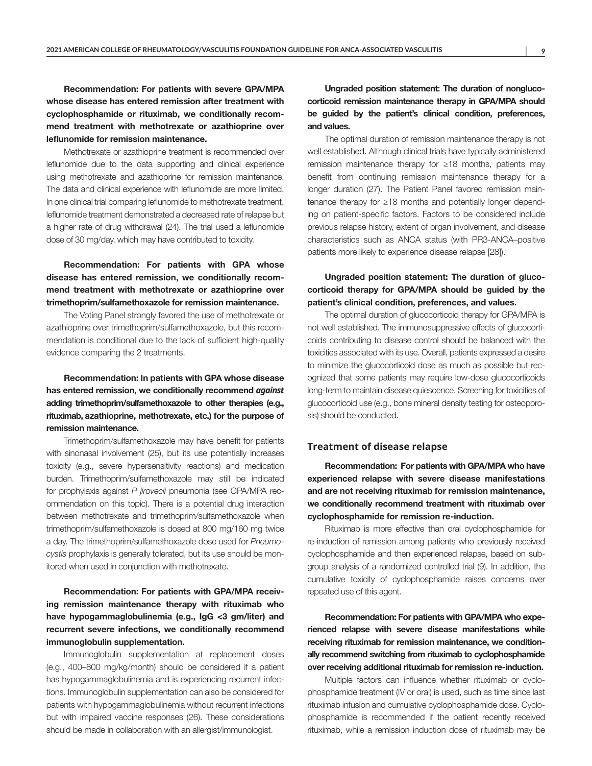Recommendation: For patients with severe GPA/MPA whose disease has entered remission after treatment with cyclophosphamide or rituximab, we conditionally recommend treatment with methotrexate or azathioprine over leflunomide for remission maintenance.

Methotrexate or azathioprine treatment is recommended over leflunomide due to the data supporting and clinical experience using methotrexate and azathioprine for remission maintenance. The data and clinical experience with leflunomide are more limited. In one clinical trial comparing leflunomide to methotrexate treatment, leflunomide treatment demonstrated a decreased rate of relapse but a higher rate of drug withdrawal (24). The trial used a leflunomide dose of 30 mg/day, which may have contributed to toxicity.

# Recommendation: For patients with GPA whose disease has entered remission, we conditionally recommend treatment with methotrexate or azathioprine over trimethoprim/sulfamethoxazole for remission maintenance.

The Voting Panel strongly favored the use of methotrexate or azathioprine over trimethoprim/sulfamethoxazole, but this recommendation is conditional due to the lack of sufficient high-quality evidence comparing the 2 treatments.

# Recommendation: In patients with GPA whose disease has entered remission, we conditionally recommend *against* adding trimethoprim/sulfamethoxazole to other therapies (e.g., rituximab, azathioprine, methotrexate, etc.) for the purpose of remission maintenance.

Trimethoprim/sulfamethoxazole may have benefit for patients with sinonasal involvement (25), but its use potentially increases toxicity (e.g., severe hypersensitivity reactions) and medication burden. Trimethoprim/sulfamethoxazole may still be indicated for prophylaxis against *P jirovecii* pneumonia (see GPA/MPA recommendation on this topic). There is a potential drug interaction between methotrexate and trimethoprim/sulfamethoxazole when trimethoprim/sulfamethoxazole is dosed at 800 mg/160 mg twice a day. The trimethoprim/sulfamethoxazole dose used for *Pneumocystis* prophylaxis is generally tolerated, but its use should be monitored when used in conjunction with methotrexate.

Recommendation: For patients with GPA/MPA receiving remission maintenance therapy with rituximab who have hypogammaglobulinemia (e.g., IgG <3 gm/liter) and recurrent severe infections, we conditionally recommend immunoglobulin supplementation.

Immunoglobulin supplementation at replacement doses (e.g., 400–800 mg/kg/month) should be considered if a patient has hypogammaglobulinemia and is experiencing recurrent infections. Immunoglobulin supplementation can also be considered for patients with hypogammaglobulinemia without recurrent infections but with impaired vaccine responses (26). These considerations should be made in collaboration with an allergist/immunologist.

Ungraded position statement: The duration of nonglucocorticoid remission maintenance therapy in GPA/MPA should be guided by the patient's clinical condition, preferences, and values.

The optimal duration of remission maintenance therapy is not well established. Although clinical trials have typically administered remission maintenance therapy for ≥18 months, patients may benefit from continuing remission maintenance therapy for a longer duration (27). The Patient Panel favored remission maintenance therapy for ≥18 months and potentially longer depending on patient-specific factors. Factors to be considered include previous relapse history, extent of organ involvement, and disease characteristics such as ANCA status (with PR3-ANCA–positive patients more likely to experience disease relapse [28]).

### Ungraded position statement: The duration of glucocorticoid therapy for GPA/MPA should be guided by the patient's clinical condition, preferences, and values.

The optimal duration of glucocorticoid therapy for GPA/MPA is not well established. The immunosuppressive effects of glucocorticoids contributing to disease control should be balanced with the toxicities associated with its use. Overall, patients expressed a desire to minimize the glucocorticoid dose as much as possible but recognized that some patients may require low-dose glucocorticoids long-term to maintain disease quiescence. Screening for toxicities of glucocorticoid use (e.g., bone mineral density testing for osteoporosis) should be conducted.

#### **Treatment of disease relapse**

Recommendation: For patients with GPA/MPA who have experienced relapse with severe disease manifestations and are not receiving rituximab for remission maintenance, we conditionally recommend treatment with rituximab over cyclophosphamide for remission re-induction.

Rituximab is more effective than oral cyclophosphamide for re-induction of remission among patients who previously received cyclophosphamide and then experienced relapse, based on subgroup analysis of a randomized controlled trial (9). In addition, the cumulative toxicity of cyclophosphamide raises concerns over repeated use of this agent.

Recommendation: For patients with GPA/MPA who experienced relapse with severe disease manifestations while receiving rituximab for remission maintenance, we conditionally recommend switching from rituximab to cyclophosphamide over receiving additional rituximab for remission re-induction.

Multiple factors can influence whether rituximab or cyclophosphamide treatment (IV or oral) is used, such as time since last rituximab infusion and cumulative cyclophosphamide dose. Cyclophosphamide is recommended if the patient recently received rituximab, while a remission induction dose of rituximab may be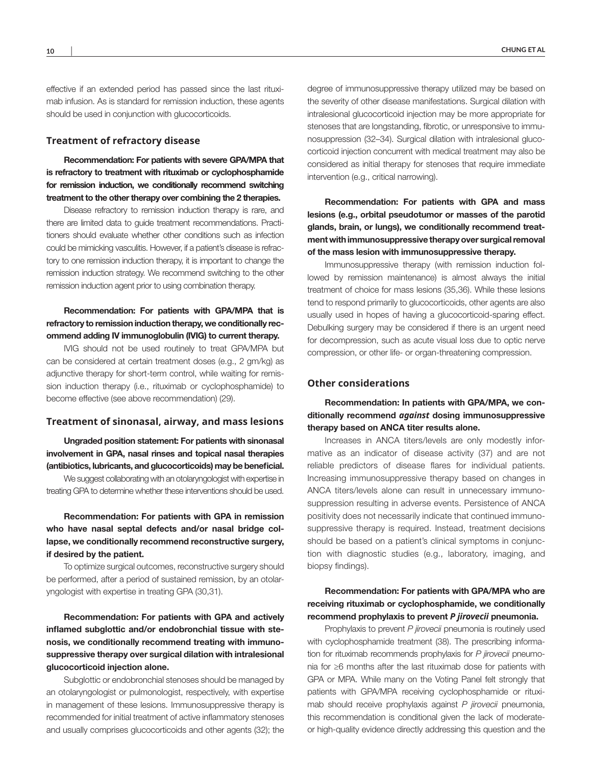effective if an extended period has passed since the last rituximab infusion. As is standard for remission induction, these agents should be used in conjunction with glucocorticoids.

#### **Treatment of refractory disease**

Recommendation: For patients with severe GPA/MPA that is refractory to treatment with rituximab or cyclophosphamide for remission induction, we conditionally recommend switching treatment to the other therapy over combining the 2 therapies.

Disease refractory to remission induction therapy is rare, and there are limited data to guide treatment recommendations. Practitioners should evaluate whether other conditions such as infection could be mimicking vasculitis. However, if a patient's disease is refractory to one remission induction therapy, it is important to change the remission induction strategy. We recommend switching to the other remission induction agent prior to using combination therapy.

### Recommendation: For patients with GPA/MPA that is refractory to remission induction therapy, we conditionally recommend adding IV immunoglobulin (IVIG) to current therapy.

IVIG should not be used routinely to treat GPA/MPA but can be considered at certain treatment doses (e.g., 2 gm/kg) as adjunctive therapy for short-term control, while waiting for remission induction therapy (i.e., rituximab or cyclophosphamide) to become effective (see above recommendation) (29).

#### **Treatment of sinonasal, airway, and mass lesions**

Ungraded position statement: For patients with sinonasal involvement in GPA, nasal rinses and topical nasal therapies (antibiotics, lubricants, and glucocorticoids) may be beneficial. We suggest collaborating with an otolaryngologist with expertise in treating GPA to determine whether these interventions should be used.

Recommendation: For patients with GPA in remission who have nasal septal defects and/or nasal bridge collapse, we conditionally recommend reconstructive surgery, if desired by the patient.

To optimize surgical outcomes, reconstructive surgery should be performed, after a period of sustained remission, by an otolaryngologist with expertise in treating GPA (30,31).

Recommendation: For patients with GPA and actively inflamed subglottic and/or endobronchial tissue with stenosis, we conditionally recommend treating with immunosuppressive therapy over surgical dilation with intralesional glucocorticoid injection alone.

Subglottic or endobronchial stenoses should be managed by an otolaryngologist or pulmonologist, respectively, with expertise in management of these lesions. Immunosuppressive therapy is recommended for initial treatment of active inflammatory stenoses and usually comprises glucocorticoids and other agents (32); the

degree of immunosuppressive therapy utilized may be based on the severity of other disease manifestations. Surgical dilation with intralesional glucocorticoid injection may be more appropriate for stenoses that are longstanding, fibrotic, or unresponsive to immunosuppression (32–34). Surgical dilation with intralesional glucocorticoid injection concurrent with medical treatment may also be considered as initial therapy for stenoses that require immediate intervention (e.g., critical narrowing).

Recommendation: For patients with GPA and mass lesions (e.g., orbital pseudotumor or masses of the parotid glands, brain, or lungs), we conditionally recommend treatment with immunosuppressive therapy over surgical removal of the mass lesion with immunosuppressive therapy.

Immunosuppressive therapy (with remission induction followed by remission maintenance) is almost always the initial treatment of choice for mass lesions (35,36). While these lesions tend to respond primarily to glucocorticoids, other agents are also usually used in hopes of having a glucocorticoid-sparing effect. Debulking surgery may be considered if there is an urgent need for decompression, such as acute visual loss due to optic nerve compression, or other life- or organ-threatening compression.

#### **Other considerations**

Recommendation: In patients with GPA/MPA, we conditionally recommend *against* dosing immunosuppressive therapy based on ANCA titer results alone.

Increases in ANCA titers/levels are only modestly informative as an indicator of disease activity (37) and are not reliable predictors of disease flares for individual patients. Increasing immunosuppressive therapy based on changes in ANCA titers/levels alone can result in unnecessary immunosuppression resulting in adverse events. Persistence of ANCA positivity does not necessarily indicate that continued immunosuppressive therapy is required. Instead, treatment decisions should be based on a patient's clinical symptoms in conjunction with diagnostic studies (e.g., laboratory, imaging, and biopsy findings).

### Recommendation: For patients with GPA/MPA who are receiving rituximab or cyclophosphamide, we conditionally recommend prophylaxis to prevent *P jirovecii* pneumonia.

Prophylaxis to prevent *P jirovecii* pneumonia is routinely used with cyclophosphamide treatment (38). The prescribing information for rituximab recommends prophylaxis for *P jirovecii* pneumonia for ≥6 months after the last rituximab dose for patients with GPA or MPA. While many on the Voting Panel felt strongly that patients with GPA/MPA receiving cyclophosphamide or rituximab should receive prophylaxis against *P jirovecii* pneumonia, this recommendation is conditional given the lack of moderateor high-quality evidence directly addressing this question and the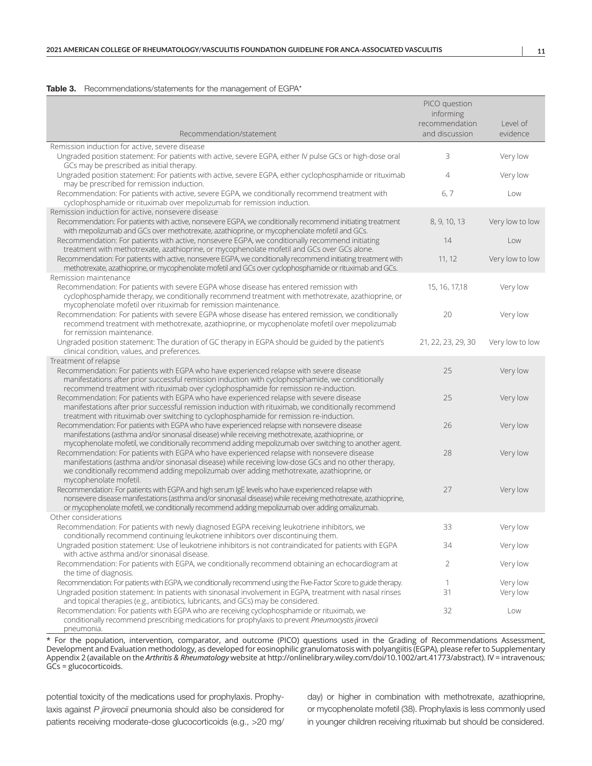#### Table 3. Recommendations/statements for the management of EGPA\*

|                                                                                                                                                                                                                                                                                                                                                                                                        | PICO question<br>informing |                 |
|--------------------------------------------------------------------------------------------------------------------------------------------------------------------------------------------------------------------------------------------------------------------------------------------------------------------------------------------------------------------------------------------------------|----------------------------|-----------------|
|                                                                                                                                                                                                                                                                                                                                                                                                        | recommendation             | Level of        |
| Recommendation/statement                                                                                                                                                                                                                                                                                                                                                                               | and discussion             | evidence        |
| Remission induction for active, severe disease                                                                                                                                                                                                                                                                                                                                                         |                            |                 |
| Ungraded position statement: For patients with active, severe EGPA, either IV pulse GCs or high-dose oral<br>GCs may be prescribed as initial therapy.                                                                                                                                                                                                                                                 | 3                          | Very low        |
| Ungraded position statement: For patients with active, severe EGPA, either cyclophosphamide or rituximab<br>may be prescribed for remission induction.                                                                                                                                                                                                                                                 | 4                          | Very low        |
| Recommendation: For patients with active, severe EGPA, we conditionally recommend treatment with<br>cyclophosphamide or rituximab over mepolizumab for remission induction.                                                                                                                                                                                                                            | 6, 7                       | Low             |
| Remission induction for active, nonsevere disease                                                                                                                                                                                                                                                                                                                                                      |                            |                 |
| Recommendation: For patients with active, nonsevere EGPA, we conditionally recommend initiating treatment<br>with mepolizumab and GCs over methotrexate, azathioprine, or mycophenolate mofetil and GCs.                                                                                                                                                                                               | 8, 9, 10, 13               | Very low to low |
| Recommendation: For patients with active, nonsevere EGPA, we conditionally recommend initiating<br>treatment with methotrexate, azathioprine, or mycophenolate mofetil and GCs over GCs alone.                                                                                                                                                                                                         | 14                         | Low             |
| Recommendation: For patients with active, nonsevere EGPA, we conditionally recommend initiating treatment with<br>methotrexate, azathioprine, or mycophenolate mofetil and GCs over cyclophosphamide or rituximab and GCs.                                                                                                                                                                             | 11, 12                     | Very low to low |
| Remission maintenance                                                                                                                                                                                                                                                                                                                                                                                  |                            |                 |
| Recommendation: For patients with severe EGPA whose disease has entered remission with<br>cyclophosphamide therapy, we conditionally recommend treatment with methotrexate, azathioprine, or<br>mycophenolate mofetil over rituximab for remission maintenance.                                                                                                                                        | 15, 16, 17, 18             | Very low        |
| Recommendation: For patients with severe EGPA whose disease has entered remission, we conditionally<br>recommend treatment with methotrexate, azathioprine, or mycophenolate mofetil over mepolizumab<br>for remission maintenance.                                                                                                                                                                    | 20                         | Very low        |
| Ungraded position statement: The duration of GC therapy in EGPA should be guided by the patient's<br>clinical condition, values, and preferences.                                                                                                                                                                                                                                                      | 21, 22, 23, 29, 30         | Very low to low |
| Treatment of relapse                                                                                                                                                                                                                                                                                                                                                                                   |                            |                 |
| Recommendation: For patients with EGPA who have experienced relapse with severe disease<br>manifestations after prior successful remission induction with cyclophosphamide, we conditionally<br>recommend treatment with rituximab over cyclophosphamide for remission re-induction.                                                                                                                   | 25                         | Very low        |
| Recommendation: For patients with EGPA who have experienced relapse with severe disease<br>manifestations after prior successful remission induction with rituximab, we conditionally recommend                                                                                                                                                                                                        | 25                         | Very low        |
| treatment with rituximab over switching to cyclophosphamide for remission re-induction.<br>Recommendation: For patients with EGPA who have experienced relapse with nonsevere disease<br>manifestations (asthma and/or sinonasal disease) while receiving methotrexate, azathioprine, or                                                                                                               | 26                         | Very low        |
| mycophenolate mofetil, we conditionally recommend adding mepolizumab over switching to another agent.<br>Recommendation: For patients with EGPA who have experienced relapse with nonsevere disease<br>manifestations (asthma and/or sinonasal disease) while receiving low-dose GCs and no other therapy,<br>we conditionally recommend adding mepolizumab over adding methotrexate, azathioprine, or | 28                         | Very low        |
| mycophenolate mofetil.<br>Recommendation: For patients with EGPA and high serum IgE levels who have experienced relapse with<br>nonsevere disease manifestations (asthma and/or sinonasal disease) while receiving methotrexate, azathioprine,<br>or mycophenolate mofetil, we conditionally recommend adding mepolizumab over adding omalizumab.                                                      | 27                         | Very low        |
| Other considerations                                                                                                                                                                                                                                                                                                                                                                                   |                            |                 |
| Recommendation: For patients with newly diagnosed EGPA receiving leukotriene inhibitors, we                                                                                                                                                                                                                                                                                                            | 33                         | Very low        |
| conditionally recommend continuing leukotriene inhibitors over discontinuing them.                                                                                                                                                                                                                                                                                                                     |                            |                 |
| Ungraded position statement: Use of leukotriene inhibitors is not contraindicated for patients with EGPA<br>with active asthma and/or sinonasal disease.                                                                                                                                                                                                                                               | 34                         | Very low        |
| Recommendation: For patients with EGPA, we conditionally recommend obtaining an echocardiogram at<br>the time of diagnosis.                                                                                                                                                                                                                                                                            | 2                          | Very low        |
| Recommendation: For patients with EGPA, we conditionally recommend using the Five-Factor Score to guide therapy.                                                                                                                                                                                                                                                                                       | $\mathbf{1}$               | Very low        |
| Ungraded position statement: In patients with sinonasal involvement in EGPA, treatment with nasal rinses<br>and topical therapies (e.g., antibiotics, lubricants, and GCs) may be considered.                                                                                                                                                                                                          | 31                         | Very low        |
| Recommendation: For patients with EGPA who are receiving cyclophosphamide or rituximab, we<br>conditionally recommend prescribing medications for prophylaxis to prevent Pneumocystis jirovecii<br>pneumonia.                                                                                                                                                                                          | 32                         | Low             |

\* For the population, intervention, comparator, and outcome (PICO) questions used in the Grading of Recommendations Assessment, Development and Evaluation methodology, as developed for eosinophilic granulomatosis with polyangiitis (EGPA), please refer to Supplementary Appendix 2 (available on the *Arthritis & Rheumatology* website at<http://onlinelibrary.wiley.com/doi/10.1002/art.41773/abstract>). IV = intravenous; GCs = glucocorticoids.

potential toxicity of the medications used for prophylaxis. Prophylaxis against *P jirovecii* pneumonia should also be considered for patients receiving moderate-dose glucocorticoids (e.g., >20 mg/

day) or higher in combination with methotrexate, azathioprine, or mycophenolate mofetil (38). Prophylaxis is less commonly used in younger children receiving rituximab but should be considered.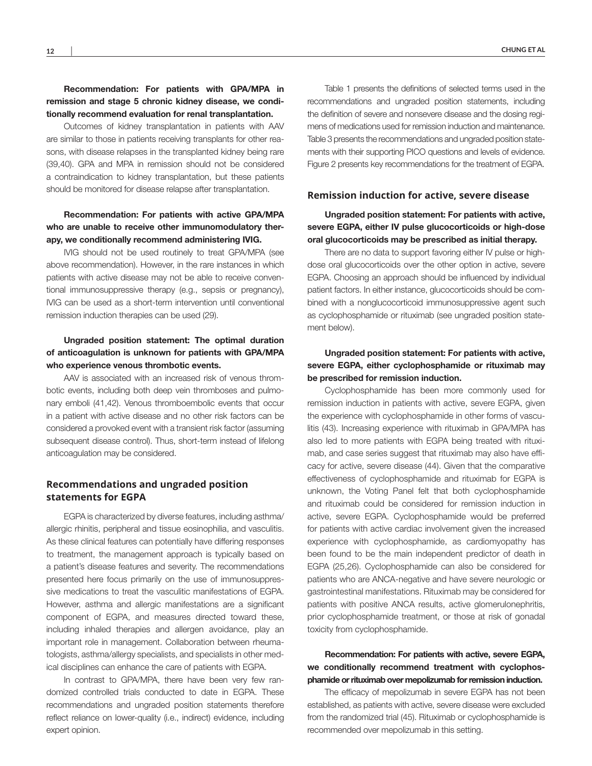#### Recommendation: For patients with GPA/MPA in remission and stage 5 chronic kidney disease, we conditionally recommend evaluation for renal transplantation.

Outcomes of kidney transplantation in patients with AAV are similar to those in patients receiving transplants for other reasons, with disease relapses in the transplanted kidney being rare (39,40). GPA and MPA in remission should not be considered a contraindication to kidney transplantation, but these patients should be monitored for disease relapse after transplantation.

### Recommendation: For patients with active GPA/MPA who are unable to receive other immunomodulatory therapy, we conditionally recommend administering IVIG.

IVIG should not be used routinely to treat GPA/MPA (see above recommendation). However, in the rare instances in which patients with active disease may not be able to receive conventional immunosuppressive therapy (e.g., sepsis or pregnancy), IVIG can be used as a short-term intervention until conventional remission induction therapies can be used (29).

### Ungraded position statement: The optimal duration of anticoagulation is unknown for patients with GPA/MPA who experience venous thrombotic events.

AAV is associated with an increased risk of venous thrombotic events, including both deep vein thromboses and pulmonary emboli (41,42). Venous thromboembolic events that occur in a patient with active disease and no other risk factors can be considered a provoked event with a transient risk factor (assuming subsequent disease control). Thus, short-term instead of lifelong anticoagulation may be considered.

### **Recommendations and ungraded position statements for EGPA**

EGPA is characterized by diverse features, including asthma/ allergic rhinitis, peripheral and tissue eosinophilia, and vasculitis. As these clinical features can potentially have differing responses to treatment, the management approach is typically based on a patient's disease features and severity. The recommendations presented here focus primarily on the use of immunosuppressive medications to treat the vasculitic manifestations of EGPA. However, asthma and allergic manifestations are a significant component of EGPA, and measures directed toward these, including inhaled therapies and allergen avoidance, play an important role in management. Collaboration between rheumatologists, asthma/allergy specialists, and specialists in other medical disciplines can enhance the care of patients with EGPA.

In contrast to GPA/MPA, there have been very few randomized controlled trials conducted to date in EGPA. These recommendations and ungraded position statements therefore reflect reliance on lower-quality (i.e., indirect) evidence, including expert opinion.

Table 1 presents the definitions of selected terms used in the recommendations and ungraded position statements, including the definition of severe and nonsevere disease and the dosing regimens of medications used for remission induction and maintenance. Table 3 presents the recommendations and ungraded position statements with their supporting PICO questions and levels of evidence. Figure 2 presents key recommendations for the treatment of EGPA.

#### **Remission induction for active, severe disease**

Ungraded position statement: For patients with active, severe EGPA, either IV pulse glucocorticoids or high-dose oral glucocorticoids may be prescribed as initial therapy.

There are no data to support favoring either IV pulse or highdose oral glucocorticoids over the other option in active, severe EGPA. Choosing an approach should be influenced by individual patient factors. In either instance, glucocorticoids should be combined with a nonglucocorticoid immunosuppressive agent such as cyclophosphamide or rituximab (see ungraded position statement below).

### Ungraded position statement: For patients with active, severe EGPA, either cyclophosphamide or rituximab may be prescribed for remission induction.

Cyclophosphamide has been more commonly used for remission induction in patients with active, severe EGPA, given the experience with cyclophosphamide in other forms of vasculitis (43). Increasing experience with rituximab in GPA/MPA has also led to more patients with EGPA being treated with rituximab, and case series suggest that rituximab may also have efficacy for active, severe disease (44). Given that the comparative effectiveness of cyclophosphamide and rituximab for EGPA is unknown, the Voting Panel felt that both cyclophosphamide and rituximab could be considered for remission induction in active, severe EGPA. Cyclophosphamide would be preferred for patients with active cardiac involvement given the increased experience with cyclophosphamide, as cardiomyopathy has been found to be the main independent predictor of death in EGPA (25,26). Cyclophosphamide can also be considered for patients who are ANCA-negative and have severe neurologic or gastrointestinal manifestations. Rituximab may be considered for patients with positive ANCA results, active glomerulonephritis, prior cyclophosphamide treatment, or those at risk of gonadal toxicity from cyclophosphamide.

### Recommendation: For patients with active, severe EGPA, we conditionally recommend treatment with cyclophosphamide or rituximab over mepolizumab for remission induction.

The efficacy of mepolizumab in severe EGPA has not been established, as patients with active, severe disease were excluded from the randomized trial (45). Rituximab or cyclophosphamide is recommended over mepolizumab in this setting.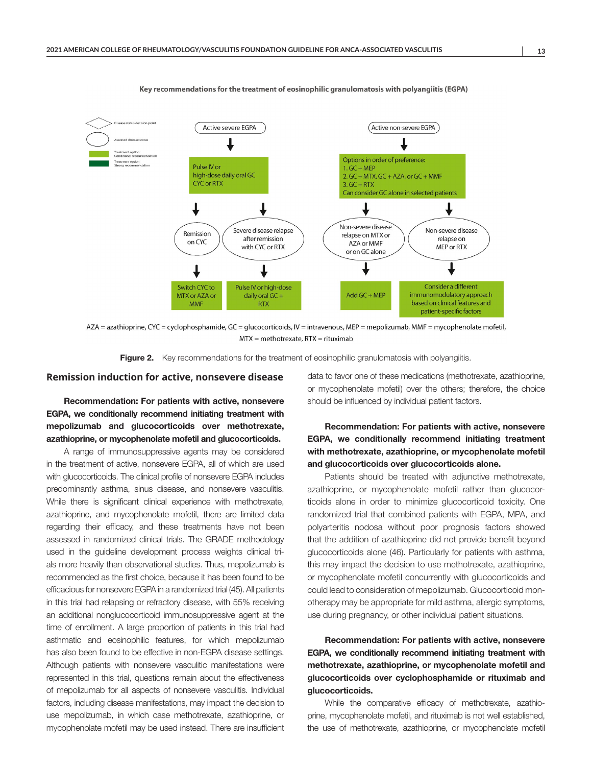

Key recommendations for the treatment of eosinophilic granulomatosis with polyangiitis (EGPA)

AZA = azathioprine, CYC = cyclophosphamide, GC = glucocorticoids, IV = intravenous, MEP = mepolizumab, MMF = mycophenolate mofetil,  $MTX =$  methotrexate, RTX = rituximab

Figure 2. Key recommendations for the treatment of eosinophilic granulomatosis with polyangiitis.

#### **Remission induction for active, nonsevere disease**

Recommendation: For patients with active, nonsevere EGPA, we conditionally recommend initiating treatment with mepolizumab and glucocorticoids over methotrexate, azathioprine, or mycophenolate mofetil and glucocorticoids.

A range of immunosuppressive agents may be considered in the treatment of active, nonsevere EGPA, all of which are used with glucocorticoids. The clinical profile of nonsevere EGPA includes predominantly asthma, sinus disease, and nonsevere vasculitis. While there is significant clinical experience with methotrexate, azathioprine, and mycophenolate mofetil, there are limited data regarding their efficacy, and these treatments have not been assessed in randomized clinical trials. The GRADE methodology used in the guideline development process weights clinical trials more heavily than observational studies. Thus, mepolizumab is recommended as the first choice, because it has been found to be efficacious for nonsevere EGPA in a randomized trial (45). All patients in this trial had relapsing or refractory disease, with 55% receiving an additional nonglucocorticoid immunosuppressive agent at the time of enrollment. A large proportion of patients in this trial had asthmatic and eosinophilic features, for which mepolizumab has also been found to be effective in non-EGPA disease settings. Although patients with nonsevere vasculitic manifestations were represented in this trial, questions remain about the effectiveness of mepolizumab for all aspects of nonsevere vasculitis. Individual factors, including disease manifestations, may impact the decision to use mepolizumab, in which case methotrexate, azathioprine, or mycophenolate mofetil may be used instead. There are insufficient

data to favor one of these medications (methotrexate, azathioprine, or mycophenolate mofetil) over the others; therefore, the choice should be influenced by individual patient factors.

# Recommendation: For patients with active, nonsevere EGPA, we conditionally recommend initiating treatment with methotrexate, azathioprine, or mycophenolate mofetil and glucocorticoids over glucocorticoids alone.

Patients should be treated with adjunctive methotrexate, azathioprine, or mycophenolate mofetil rather than glucocorticoids alone in order to minimize glucocorticoid toxicity. One randomized trial that combined patients with EGPA, MPA, and polyarteritis nodosa without poor prognosis factors showed that the addition of azathioprine did not provide benefit beyond glucocorticoids alone (46). Particularly for patients with asthma, this may impact the decision to use methotrexate, azathioprine, or mycophenolate mofetil concurrently with glucocorticoids and could lead to consideration of mepolizumab. Glucocorticoid monotherapy may be appropriate for mild asthma, allergic symptoms, use during pregnancy, or other individual patient situations.

# Recommendation: For patients with active, nonsevere EGPA, we conditionally recommend initiating treatment with methotrexate, azathioprine, or mycophenolate mofetil and glucocorticoids over cyclophosphamide or rituximab and glucocorticoids.

While the comparative efficacy of methotrexate, azathioprine, mycophenolate mofetil, and rituximab is not well established, the use of methotrexate, azathioprine, or mycophenolate mofetil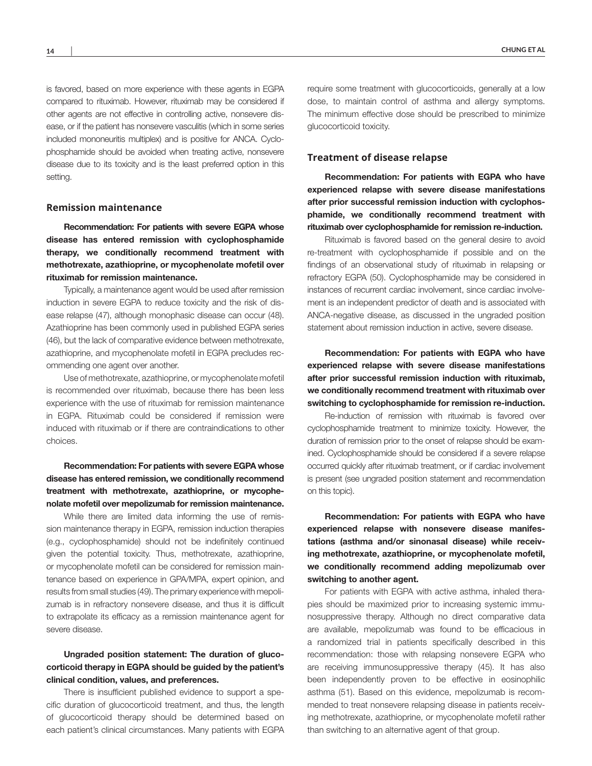is favored, based on more experience with these agents in EGPA compared to rituximab. However, rituximab may be considered if other agents are not effective in controlling active, nonsevere disease, or if the patient has nonsevere vasculitis (which in some series included mononeuritis multiplex) and is positive for ANCA. Cyclophosphamide should be avoided when treating active, nonsevere disease due to its toxicity and is the least preferred option in this setting.

#### **Remission maintenance**

Recommendation: For patients with severe EGPA whose disease has entered remission with cyclophosphamide therapy, we conditionally recommend treatment with methotrexate, azathioprine, or mycophenolate mofetil over rituximab for remission maintenance.

Typically, a maintenance agent would be used after remission induction in severe EGPA to reduce toxicity and the risk of disease relapse (47), although monophasic disease can occur (48). Azathioprine has been commonly used in published EGPA series (46), but the lack of comparative evidence between methotrexate, azathioprine, and mycophenolate mofetil in EGPA precludes recommending one agent over another.

Use of methotrexate, azathioprine, or mycophenolate mofetil is recommended over rituximab, because there has been less experience with the use of rituximab for remission maintenance in EGPA. Rituximab could be considered if remission were induced with rituximab or if there are contraindications to other choices.

# Recommendation: For patients with severe EGPA whose disease has entered remission, we conditionally recommend treatment with methotrexate, azathioprine, or mycophenolate mofetil over mepolizumab for remission maintenance.

While there are limited data informing the use of remission maintenance therapy in EGPA, remission induction therapies (e.g., cyclophosphamide) should not be indefinitely continued given the potential toxicity. Thus, methotrexate, azathioprine, or mycophenolate mofetil can be considered for remission maintenance based on experience in GPA/MPA, expert opinion, and results from small studies (49). The primary experience with mepolizumab is in refractory nonsevere disease, and thus it is difficult to extrapolate its efficacy as a remission maintenance agent for severe disease.

### Ungraded position statement: The duration of glucocorticoid therapy in EGPA should be guided by the patient's clinical condition, values, and preferences.

There is insufficient published evidence to support a specific duration of glucocorticoid treatment, and thus, the length of glucocorticoid therapy should be determined based on each patient's clinical circumstances. Many patients with EGPA

#### **Treatment of disease relapse**

Recommendation: For patients with EGPA who have experienced relapse with severe disease manifestations after prior successful remission induction with cyclophosphamide, we conditionally recommend treatment with rituximab over cyclophosphamide for remission re-induction.

Rituximab is favored based on the general desire to avoid re-treatment with cyclophosphamide if possible and on the findings of an observational study of rituximab in relapsing or refractory EGPA (50). Cyclophosphamide may be considered in instances of recurrent cardiac involvement, since cardiac involvement is an independent predictor of death and is associated with ANCA-negative disease, as discussed in the ungraded position statement about remission induction in active, severe disease.

Recommendation: For patients with EGPA who have experienced relapse with severe disease manifestations after prior successful remission induction with rituximab, we conditionally recommend treatment with rituximab over switching to cyclophosphamide for remission re-induction.

Re-induction of remission with rituximab is favored over cyclophosphamide treatment to minimize toxicity. However, the duration of remission prior to the onset of relapse should be examined. Cyclophosphamide should be considered if a severe relapse occurred quickly after rituximab treatment, or if cardiac involvement is present (see ungraded position statement and recommendation on this topic).

Recommendation: For patients with EGPA who have experienced relapse with nonsevere disease manifestations (asthma and/or sinonasal disease) while receiving methotrexate, azathioprine, or mycophenolate mofetil, we conditionally recommend adding mepolizumab over switching to another agent.

For patients with EGPA with active asthma, inhaled therapies should be maximized prior to increasing systemic immunosuppressive therapy. Although no direct comparative data are available, mepolizumab was found to be efficacious in a randomized trial in patients specifically described in this recommendation: those with relapsing nonsevere EGPA who are receiving immunosuppressive therapy (45). It has also been independently proven to be effective in eosinophilic asthma (51). Based on this evidence, mepolizumab is recommended to treat nonsevere relapsing disease in patients receiving methotrexate, azathioprine, or mycophenolate mofetil rather than switching to an alternative agent of that group.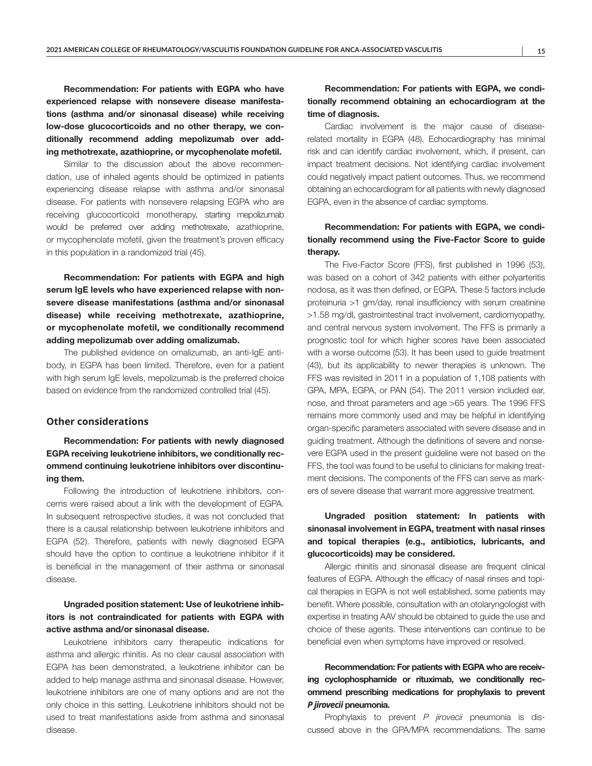Recommendation: For patients with EGPA who have experienced relapse with nonsevere disease manifestations (asthma and/or sinonasal disease) while receiving low-dose glucocorticoids and no other therapy, we conditionally recommend adding mepolizumab over adding methotrexate, azathioprine, or mycophenolate mofetil.

Similar to the discussion about the above recommendation, use of inhaled agents should be optimized in patients experiencing disease relapse with asthma and/or sinonasal disease. For patients with nonsevere relapsing EGPA who are receiving glucocorticoid monotherapy, starting mepolizumab would be preferred over adding methotrexate, azathioprine, or mycophenolate mofetil, given the treatment's proven efficacy in this population in a randomized trial (45).

Recommendation: For patients with EGPA and high serum IgE levels who have experienced relapse with nonsevere disease manifestations (asthma and/or sinonasal disease) while receiving methotrexate, azathioprine, or mycophenolate mofetil, we conditionally recommend adding mepolizumab over adding omalizumab.

The published evidence on omalizumab, an anti-IgE antibody, in EGPA has been limited. Therefore, even for a patient with high serum IgE levels, mepolizumab is the preferred choice based on evidence from the randomized controlled trial (45).

#### **Other considerations**

Recommendation: For patients with newly diagnosed EGPA receiving leukotriene inhibitors, we conditionally recommend continuing leukotriene inhibitors over discontinuing them.

Following the introduction of leukotriene inhibitors, concerns were raised about a link with the development of EGPA. In subsequent retrospective studies, it was not concluded that there is a causal relationship between leukotriene inhibitors and EGPA (52). Therefore, patients with newly diagnosed EGPA should have the option to continue a leukotriene inhibitor if it is beneficial in the management of their asthma or sinonasal disease.

### Ungraded position statement: Use of leukotriene inhibitors is not contraindicated for patients with EGPA with active asthma and/or sinonasal disease.

Leukotriene inhibitors carry therapeutic indications for asthma and allergic rhinitis. As no clear causal association with EGPA has been demonstrated, a leukotriene inhibitor can be added to help manage asthma and sinonasal disease. However, leukotriene inhibitors are one of many options and are not the only choice in this setting. Leukotriene inhibitors should not be used to treat manifestations aside from asthma and sinonasal disease.

### Recommendation: For patients with EGPA, we conditionally recommend obtaining an echocardiogram at the time of diagnosis.

Cardiac involvement is the major cause of diseaserelated mortality in EGPA (48). Echocardiography has minimal risk and can identify cardiac involvement, which, if present, can impact treatment decisions. Not identifying cardiac involvement could negatively impact patient outcomes. Thus, we recommend obtaining an echocardiogram for all patients with newly diagnosed EGPA, even in the absence of cardiac symptoms.

# Recommendation: For patients with EGPA, we conditionally recommend using the Five-Factor Score to guide therapy.

The Five-Factor Score (FFS), first published in 1996 (53), was based on a cohort of 342 patients with either polyarteritis nodosa, as it was then defined, or EGPA. These 5 factors include proteinuria >1 gm/day, renal insufficiency with serum creatinine >1.58 mg/dl, gastrointestinal tract involvement, cardiomyopathy, and central nervous system involvement. The FFS is primarily a prognostic tool for which higher scores have been associated with a worse outcome (53). It has been used to guide treatment (43), but its applicability to newer therapies is unknown. The FFS was revisited in 2011 in a population of 1,108 patients with GPA, MPA, EGPA, or PAN (54). The 2011 version included ear, nose, and throat parameters and age >65 years. The 1996 FFS remains more commonly used and may be helpful in identifying organ-specific parameters associated with severe disease and in guiding treatment. Although the definitions of severe and nonsevere EGPA used in the present guideline were not based on the FFS, the tool was found to be useful to clinicians for making treatment decisions. The components of the FFS can serve as markers of severe disease that warrant more aggressive treatment.

# Ungraded position statement: In patients with sinonasal involvement in EGPA, treatment with nasal rinses and topical therapies (e.g., antibiotics, lubricants, and glucocorticoids) may be considered.

Allergic rhinitis and sinonasal disease are frequent clinical features of EGPA. Although the efficacy of nasal rinses and topical therapies in EGPA is not well established, some patients may benefit. Where possible, consultation with an otolaryngologist with expertise in treating AAV should be obtained to guide the use and choice of these agents. These interventions can continue to be beneficial even when symptoms have improved or resolved.

Recommendation: For patients with EGPA who are receiving cyclophosphamide or rituximab, we conditionally recommend prescribing medications for prophylaxis to prevent *P jirovecii* pneumonia.

Prophylaxis to prevent *P jirovecii* pneumonia is discussed above in the GPA/MPA recommendations. The same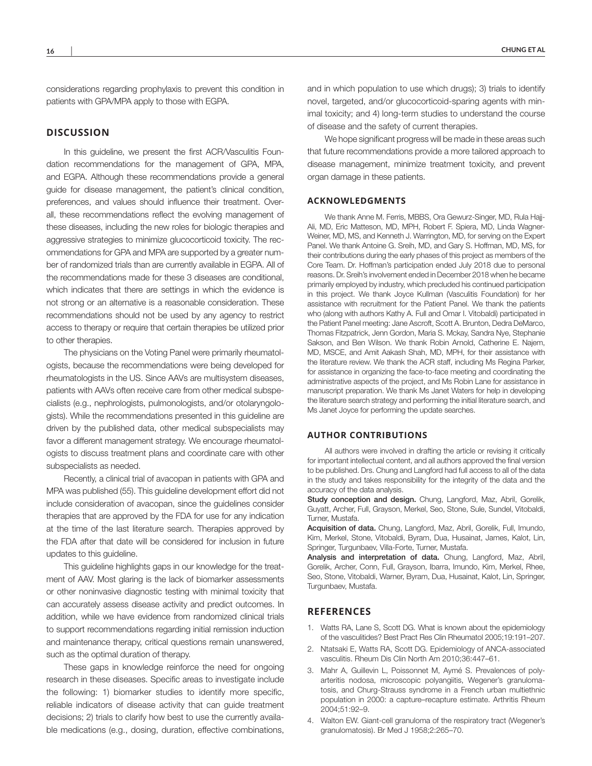considerations regarding prophylaxis to prevent this condition in patients with GPA/MPA apply to those with EGPA.

#### **DISCUSSION**

In this quideline, we present the first ACR/Vasculitis Foundation recommendations for the management of GPA, MPA, and EGPA. Although these recommendations provide a general guide for disease management, the patient's clinical condition, preferences, and values should influence their treatment. Overall, these recommendations reflect the evolving management of these diseases, including the new roles for biologic therapies and aggressive strategies to minimize glucocorticoid toxicity. The recommendations for GPA and MPA are supported by a greater number of randomized trials than are currently available in EGPA. All of the recommendations made for these 3 diseases are conditional, which indicates that there are settings in which the evidence is not strong or an alternative is a reasonable consideration. These recommendations should not be used by any agency to restrict access to therapy or require that certain therapies be utilized prior to other therapies.

The physicians on the Voting Panel were primarily rheumatologists, because the recommendations were being developed for rheumatologists in the US. Since AAVs are multisystem diseases, patients with AAVs often receive care from other medical subspecialists (e.g., nephrologists, pulmonologists, and/or otolaryngologists). While the recommendations presented in this guideline are driven by the published data, other medical subspecialists may favor a different management strategy. We encourage rheumatologists to discuss treatment plans and coordinate care with other subspecialists as needed.

Recently, a clinical trial of avacopan in patients with GPA and MPA was published (55). This guideline development effort did not include consideration of avacopan, since the guidelines consider therapies that are approved by the FDA for use for any indication at the time of the last literature search. Therapies approved by the FDA after that date will be considered for inclusion in future updates to this guideline.

This guideline highlights gaps in our knowledge for the treatment of AAV. Most glaring is the lack of biomarker assessments or other noninvasive diagnostic testing with minimal toxicity that can accurately assess disease activity and predict outcomes. In addition, while we have evidence from randomized clinical trials to support recommendations regarding initial remission induction and maintenance therapy, critical questions remain unanswered, such as the optimal duration of therapy.

These gaps in knowledge reinforce the need for ongoing research in these diseases. Specific areas to investigate include the following: 1) biomarker studies to identify more specific, reliable indicators of disease activity that can guide treatment decisions; 2) trials to clarify how best to use the currently available medications (e.g., dosing, duration, effective combinations,

and in which population to use which drugs); 3) trials to identify novel, targeted, and/or glucocorticoid-sparing agents with minimal toxicity; and 4) long-term studies to understand the course of disease and the safety of current therapies.

We hope significant progress will be made in these areas such that future recommendations provide a more tailored approach to disease management, minimize treatment toxicity, and prevent organ damage in these patients.

#### **ACKNOWLEDGMENTS**

We thank Anne M. Ferris, MBBS, Ora Gewurz-Singer, MD, Rula Hajj-Ali, MD, Eric Matteson, MD, MPH, Robert F. Spiera, MD, Linda Wagner-Weiner, MD, MS, and Kenneth J. Warrington, MD, for serving on the Expert Panel. We thank Antoine G. Sreih, MD, and Gary S. Hoffman, MD, MS, for their contributions during the early phases of this project as members of the Core Team. Dr. Hoffman's participation ended July 2018 due to personal reasons. Dr. Sreih's involvement ended in December 2018 when he became primarily employed by industry, which precluded his continued participation in this project. We thank Joyce Kullman (Vasculitis Foundation) for her assistance with recruitment for the Patient Panel. We thank the patients who (along with authors Kathy A. Full and Omar I. Vitobaldi) participated in the Patient Panel meeting: Jane Ascroft, Scott A. Brunton, Dedra DeMarco, Thomas Fitzpatrick, Jenn Gordon, Maria S. Mckay, Sandra Nye, Stephanie Sakson, and Ben Wilson. We thank Robin Arnold, Catherine E. Najem, MD, MSCE, and Amit Aakash Shah, MD, MPH, for their assistance with the literature review. We thank the ACR staff, including Ms Regina Parker, for assistance in organizing the face-to-face meeting and coordinating the administrative aspects of the project, and Ms Robin Lane for assistance in manuscript preparation. We thank Ms Janet Waters for help in developing the literature search strategy and performing the initial literature search, and Ms Janet Joyce for performing the update searches.

#### **AUTHOR CONTRIBUTIONS**

All authors were involved in drafting the article or revising it critically for important intellectual content, and all authors approved the final version to be published. Drs. Chung and Langford had full access to all of the data in the study and takes responsibility for the integrity of the data and the accuracy of the data analysis.

Study conception and design. Chung, Langford, Maz, Abril, Gorelik, Guyatt, Archer, Full, Grayson, Merkel, Seo, Stone, Sule, Sundel, Vitobaldi, Turner, Mustafa.

Acquisition of data. Chung, Langford, Maz, Abril, Gorelik, Full, Imundo, Kim, Merkel, Stone, Vitobaldi, Byram, Dua, Husainat, James, Kalot, Lin, Springer, Turgunbaev, Villa-Forte, Turner, Mustafa.

Analysis and interpretation of data. Chung, Langford, Maz, Abril, Gorelik, Archer, Conn, Full, Grayson, Ibarra, Imundo, Kim, Merkel, Rhee, Seo, Stone, Vitobaldi, Warner, Byram, Dua, Husainat, Kalot, Lin, Springer, Turgunbaev, Mustafa.

#### **REFERENCES**

- 1. Watts RA, Lane S, Scott DG. What is known about the epidemiology of the vasculitides? Best Pract Res Clin Rheumatol 2005;19:191–207.
- 2. Ntatsaki E, Watts RA, Scott DG. Epidemiology of ANCA-associated vasculitis. Rheum Dis Clin North Am 2010;36:447–61.
- 3. Mahr A, Guillevin L, Poissonnet M, Aymé S. Prevalences of polyarteritis nodosa, microscopic polyangiitis, Wegener's granulomatosis, and Churg-Strauss syndrome in a French urban multiethnic population in 2000: a capture–recapture estimate. Arthritis Rheum 2004;51:92–9.
- 4. Walton EW, Giant-cell granuloma of the respiratory tract (Wegener's granulomatosis). Br Med J 1958;2:265–70.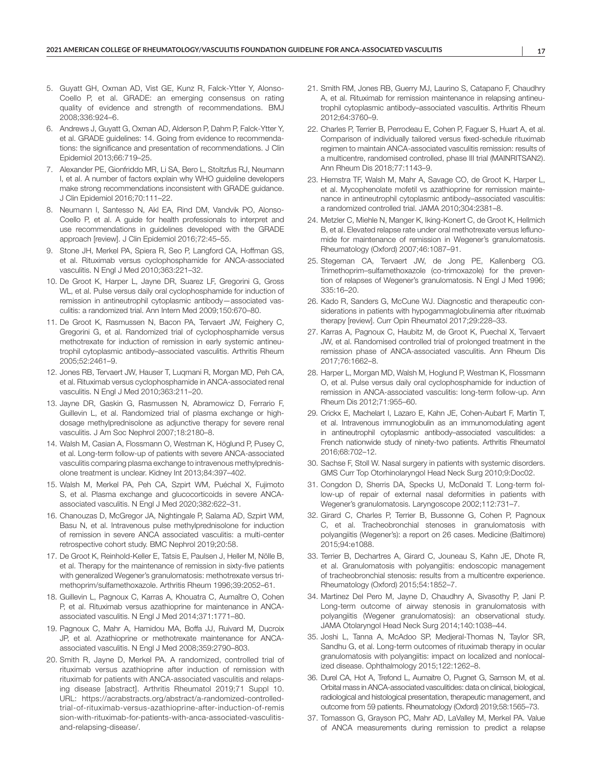- 5. Guyatt GH, Oxman AD, Vist GE, Kunz R, Falck-Ytter Y, Alonso-Coello P, et al. GRADE: an emerging consensus on rating quality of evidence and strength of recommendations. BMJ 2008;336:924–6.
- 6. Andrews J, Guyatt G, Oxman AD, Alderson P, Dahm P, Falck-Ytter Y, et al. GRADE guidelines: 14. Going from evidence to recommendations: the significance and presentation of recommendations. J Clin Epidemiol 2013;66:719–25.
- 7. Alexander PE, Gionfriddo MR, Li SA, Bero L, Stoltzfus RJ, Neumann I, et al. A number of factors explain why WHO guideline developers make strong recommendations inconsistent with GRADE guidance. J Clin Epidemiol 2016;70:111–22.
- 8. Neumann I, Santesso N, Akl EA, Rind DM, Vandvik PO, Alonso-Coello P, et al. A guide for health professionals to interpret and use recommendations in guidelines developed with the GRADE approach [review]. J Clin Epidemiol 2016;72:45–55.
- 9. Stone JH, Merkel PA, Spiera R, Seo P, Langford CA, Hoffman GS, et al. Rituximab versus cyclophosphamide for ANCA-associated vasculitis. N Engl J Med 2010;363:221–32.
- 10. De Groot K, Harper L, Jayne DR, Suarez LF, Gregorini G, Gross WL, et al. Pulse versus daily oral cyclophosphamide for induction of remission in antineutrophil cytoplasmic antibody—associated vasculitis: a randomized trial. Ann Intern Med 2009;150:670–80.
- 11. De Groot K, Rasmussen N, Bacon PA, Tervaert JW, Feighery C, Gregorini G, et al. Randomized trial of cyclophosphamide versus methotrexate for induction of remission in early systemic antineutrophil cytoplasmic antibody–associated vasculitis. Arthritis Rheum 2005;52:2461–9.
- 12. Jones RB, Tervaert JW, Hauser T, Luqmani R, Morgan MD, Peh CA, et al. Rituximab versus cyclophosphamide in ANCA-associated renal vasculitis. N Engl J Med 2010;363:211–20.
- 13. Jayne DR, Gaskin G, Rasmussen N, Abramowicz D, Ferrario F, Guillevin L, et al. Randomized trial of plasma exchange or highdosage methylprednisolone as adjunctive therapy for severe renal vasculitis. J Am Soc Nephrol 2007;18:2180–8.
- 14. Walsh M, Casian A, Flossmann O, Westman K, Höglund P, Pusey C, et al. Long-term follow-up of patients with severe ANCA-associated vasculitis comparing plasma exchange to intravenous methylprednisolone treatment is unclear. Kidney Int 2013;84:397–402.
- 15. Walsh M, Merkel PA, Peh CA, Szpirt WM, Puéchal X, Fujimoto S, et al. Plasma exchange and glucocorticoids in severe ANCAassociated vasculitis. N Engl J Med 2020;382:622–31.
- 16. Chanouzas D, McGregor JA, Nightingale P, Salama AD, Szpirt WM, Basu N, et al. Intravenous pulse methylprednisolone for induction of remission in severe ANCA associated vasculitis: a multi-center retrospective cohort study. BMC Nephrol 2019;20:58.
- 17. De Groot K, Reinhold-Keller E, Tatsis E, Paulsen J, Heller M, Nölle B, et al. Therapy for the maintenance of remission in sixty-five patients with generalized Wegener's granulomatosis: methotrexate versus trimethoprim/sulfamethoxazole. Arthritis Rheum 1996;39:2052–61.
- 18. Guillevin L, Pagnoux C, Karras A, Khouatra C, Aumaître O, Cohen P, et al. Rituximab versus azathioprine for maintenance in ANCAassociated vasculitis. N Engl J Med 2014;371:1771–80.
- 19. Pagnoux C, Mahr A, Hamidou MA, Boffa JJ, Ruivard M, Ducroix JP, et al. Azathioprine or methotrexate maintenance for ANCAassociated vasculitis. N Engl J Med 2008;359:2790–803.
- 20. Smith R, Jayne D, Merkel PA. A randomized, controlled trial of rituximab versus azathioprine after induction of remission with rituximab for patients with ANCA-associated vasculitis and relapsing disease [abstract]. Arthritis Rheumatol 2019;71 Suppl 10. URL: [https://acrabstracts.org/abstract/a-randomized-controlled](https://acrabstracts.org/abstract/a-randomized-controlled-trial-of-rituximab-versus-azathioprine-after-induction-of-remission-with-rituximab-for-patients-with-anca-associated-vasculitis-and-relapsing-disease/)[trial-of-rituximab-versus-azathioprine-after-induction-of-remis](https://acrabstracts.org/abstract/a-randomized-controlled-trial-of-rituximab-versus-azathioprine-after-induction-of-remission-with-rituximab-for-patients-with-anca-associated-vasculitis-and-relapsing-disease/) [sion-with-rituximab-for-patients-with-anca-associated-vasculitis](https://acrabstracts.org/abstract/a-randomized-controlled-trial-of-rituximab-versus-azathioprine-after-induction-of-remission-with-rituximab-for-patients-with-anca-associated-vasculitis-and-relapsing-disease/)[and-relapsing-disease/](https://acrabstracts.org/abstract/a-randomized-controlled-trial-of-rituximab-versus-azathioprine-after-induction-of-remission-with-rituximab-for-patients-with-anca-associated-vasculitis-and-relapsing-disease/).
- 21. Smith RM, Jones RB, Guerry MJ, Laurino S, Catapano F, Chaudhry A, et al. Rituximab for remission maintenance in relapsing antineutrophil cytoplasmic antibody–associated vasculitis. Arthritis Rheum 2012;64:3760–9.
- 22. Charles P, Terrier B, Perrodeau E, Cohen P, Faguer S, Huart A, et al. Comparison of individually tailored versus fixed-schedule rituximab regimen to maintain ANCA-associated vasculitis remission: results of a multicentre, randomised controlled, phase III trial (MAINRITSAN2). Ann Rheum Dis 2018;77:1143–9.
- 23. Hiemstra TF, Walsh M, Mahr A, Savage CO, de Groot K, Harper L, et al. Mycophenolate mofetil vs azathioprine for remission maintenance in antineutrophil cytoplasmic antibody–associated vasculitis: a randomized controlled trial. JAMA 2010;304:2381–8.
- 24. Metzler C, Miehle N, Manger K, Iking-Konert C, de Groot K, Hellmich B, et al. Elevated relapse rate under oral methotrexate versus leflunomide for maintenance of remission in Wegener's granulomatosis. Rheumatology (Oxford) 2007;46:1087–91.
- 25. Stegeman CA, Tervaert JW, de Jong PE, Kallenberg CG. Trimethoprim–sulfamethoxazole (co-trimoxazole) for the prevention of relapses of Wegener's granulomatosis. N Engl J Med 1996; 335:16–20.
- 26. Kado R, Sanders G, McCune WJ. Diagnostic and therapeutic considerations in patients with hypogammaglobulinemia after rituximab therapy [review]. Curr Opin Rheumatol 2017;29:228–33.
- 27. Karras A, Pagnoux C, Haubitz M, de Groot K, Puechal X, Tervaert JW, et al. Randomised controlled trial of prolonged treatment in the remission phase of ANCA-associated vasculitis. Ann Rheum Dis 2017;76:1662–8.
- 28. Harper L, Morgan MD, Walsh M, Hoglund P, Westman K, Flossmann O, et al. Pulse versus daily oral cyclophosphamide for induction of remission in ANCA-associated vasculitis: long-term follow-up. Ann Rheum Dis 2012;71:955–60.
- 29. Crickx E, Machelart I, Lazaro E, Kahn JE, Cohen-Aubart F, Martin T, et al. Intravenous immunoglobulin as an immunomodulating agent in antineutrophil cytoplasmic antibody–associated vasculitides: a French nationwide study of ninety-two patients. Arthritis Rheumatol 2016;68:702–12.
- 30. Sachse F, Stoll W. Nasal surgery in patients with systemic disorders. GMS Curr Top Otorhinolaryngol Head Neck Surg 2010;9:Doc02.
- 31. Congdon D, Sherris DA, Specks U, McDonald T. Long-term follow-up of repair of external nasal deformities in patients with Wegener's granulomatosis. Laryngoscope 2002;112:731–7.
- 32. Girard C, Charles P, Terrier B, Bussonne G, Cohen P, Pagnoux C, et al. Tracheobronchial stenoses in granulomatosis with polyangiitis (Wegener's): a report on 26 cases. Medicine (Baltimore) 2015;94:e1088.
- 33. Terrier B, Dechartres A, Girard C, Jouneau S, Kahn JE, Dhote R, et al. Granulomatosis with polyangiitis: endoscopic management of tracheobronchial stenosis: results from a multicentre experience. Rheumatology (Oxford) 2015;54:1852–7.
- 34. Martinez Del Pero M, Jayne D, Chaudhry A, Sivasothy P, Jani P. Long-term outcome of airway stenosis in granulomatosis with polyangiitis (Wegener granulomatosis): an observational study. JAMA Otolaryngol Head Neck Surg 2014;140:1038–44.
- 35. Joshi L, Tanna A, McAdoo SP, Medjeral-Thomas N, Taylor SR, Sandhu G, et al. Long-term outcomes of rituximab therapy in ocular granulomatosis with polyangiitis: impact on localized and nonlocalized disease. Ophthalmology 2015;122:1262–8.
- 36. Durel CA, Hot A, Trefond L, Aumaitre O, Pugnet G, Samson M, et al. Orbital mass in ANCA-associated vasculitides: data on clinical, biological, radiological and histological presentation, therapeutic management, and outcome from 59 patients. Rheumatology (Oxford) 2019;58:1565–73.
- 37. Tomasson G, Grayson PC, Mahr AD, LaValley M, Merkel PA. Value of ANCA measurements during remission to predict a relapse